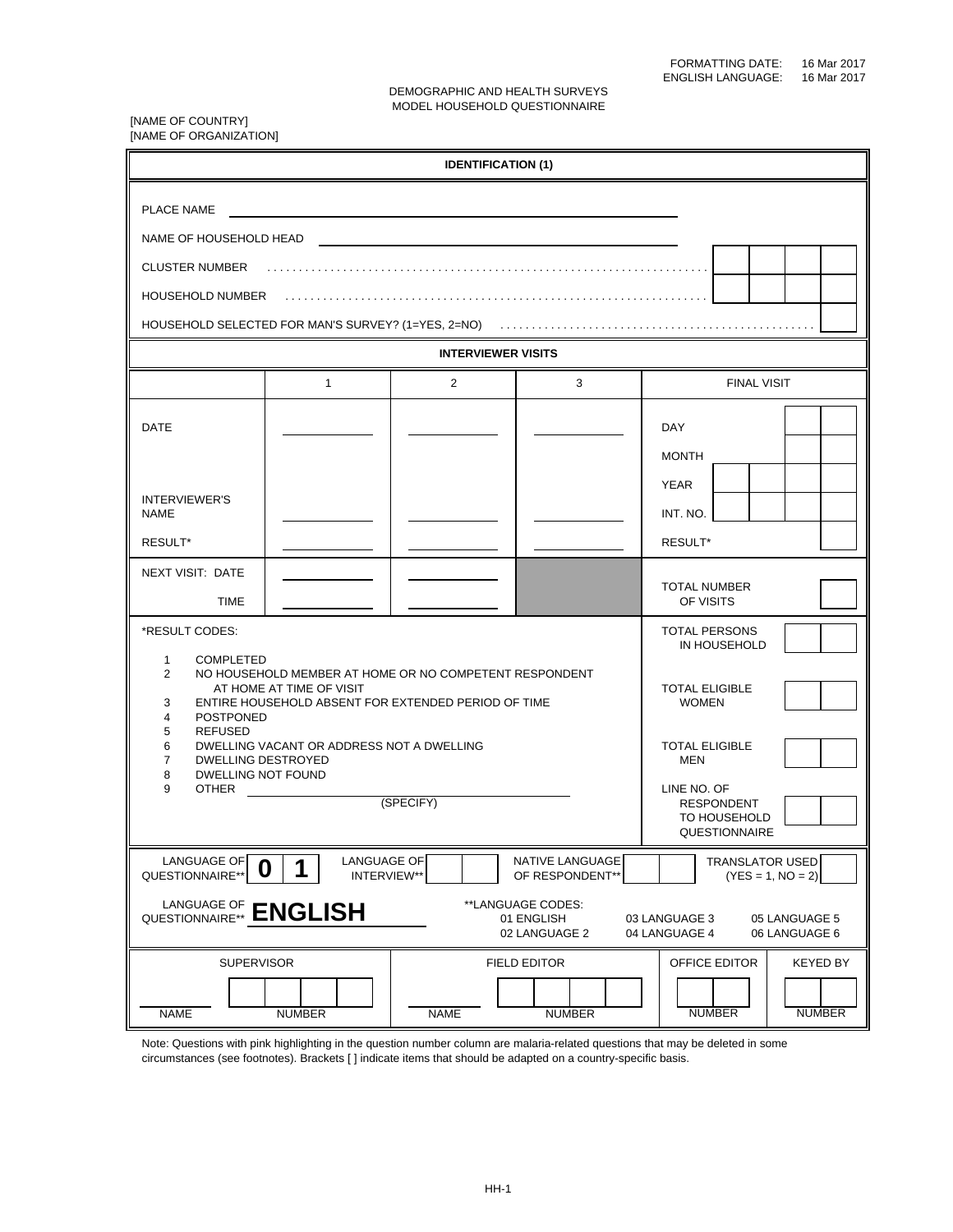DEMOGRAPHIC AND HEALTH SURVEYS MODEL HOUSEHOLD QUESTIONNAIRE

[NAME OF COUNTRY] [NAME OF ORGANIZATION]

|                                                                                                                                                                                                                                                                                                                                                                                                       |                                                                                                                                                                          | <b>IDENTIFICATION (1)</b> |                                                  |                                                                  |
|-------------------------------------------------------------------------------------------------------------------------------------------------------------------------------------------------------------------------------------------------------------------------------------------------------------------------------------------------------------------------------------------------------|--------------------------------------------------------------------------------------------------------------------------------------------------------------------------|---------------------------|--------------------------------------------------|------------------------------------------------------------------|
| PLACE NAME                                                                                                                                                                                                                                                                                                                                                                                            | <u> 1989 - Johann Barn, mars and de Brasilia (b. 1989)</u>                                                                                                               |                           |                                                  |                                                                  |
| NAME OF HOUSEHOLD HEAD                                                                                                                                                                                                                                                                                                                                                                                |                                                                                                                                                                          |                           |                                                  |                                                                  |
|                                                                                                                                                                                                                                                                                                                                                                                                       |                                                                                                                                                                          |                           |                                                  |                                                                  |
| <b>HOUSEHOLD NUMBER</b>                                                                                                                                                                                                                                                                                                                                                                               |                                                                                                                                                                          |                           |                                                  |                                                                  |
|                                                                                                                                                                                                                                                                                                                                                                                                       |                                                                                                                                                                          |                           |                                                  |                                                                  |
|                                                                                                                                                                                                                                                                                                                                                                                                       |                                                                                                                                                                          | <b>INTERVIEWER VISITS</b> |                                                  |                                                                  |
|                                                                                                                                                                                                                                                                                                                                                                                                       | $\mathbf{1}$                                                                                                                                                             | 2                         | 3                                                | <b>FINAL VISIT</b>                                               |
| <b>DATE</b><br><b>INTERVIEWER'S</b><br><b>NAME</b><br>RESULT*                                                                                                                                                                                                                                                                                                                                         |                                                                                                                                                                          |                           |                                                  | DAY<br><b>MONTH</b><br><b>YEAR</b><br>INT. NO.<br>RESULT*        |
| <b>NEXT VISIT: DATE</b>                                                                                                                                                                                                                                                                                                                                                                               |                                                                                                                                                                          |                           |                                                  |                                                                  |
| <b>TIME</b>                                                                                                                                                                                                                                                                                                                                                                                           |                                                                                                                                                                          |                           |                                                  | <b>TOTAL NUMBER</b><br>OF VISITS                                 |
| *RESULT CODES:                                                                                                                                                                                                                                                                                                                                                                                        |                                                                                                                                                                          |                           |                                                  | <b>TOTAL PERSONS</b>                                             |
| <b>COMPLETED</b><br>$\mathbf{1}$<br>$\overline{2}$<br>NO HOUSEHOLD MEMBER AT HOME OR NO COMPETENT RESPONDENT<br>AT HOME AT TIME OF VISIT<br>3<br>ENTIRE HOUSEHOLD ABSENT FOR EXTENDED PERIOD OF TIME<br>4<br><b>POSTPONED</b><br>5<br><b>REFUSED</b><br>6<br>DWELLING VACANT OR ADDRESS NOT A DWELLING<br>$\overline{7}$<br><b>DWELLING DESTROYED</b><br>8<br>DWELLING NOT FOUND<br>9<br><b>OTHER</b> | IN HOUSEHOLD<br><b>TOTAL ELIGIBLE</b><br><b>WOMEN</b><br><b>TOTAL ELIGIBLE</b><br><b>MEN</b><br>LINE NO. OF<br><b>RESPONDENT</b><br>TO HOUSEHOLD<br><b>QUESTIONNAIRE</b> |                           |                                                  |                                                                  |
| LANGUAGE OF<br>QUESTIONNAIRE**                                                                                                                                                                                                                                                                                                                                                                        | <b>LANGUAGE OF</b><br>0<br>1<br><b>INTERVIEW**</b>                                                                                                                       |                           | <b>NATIVE LANGUAGE</b><br>OF RESPONDENT**        | <b>TRANSLATOR USED</b><br>$(YES = 1, NO = 2)$                    |
| LANGUAGE OF <b>ENGLISH</b>                                                                                                                                                                                                                                                                                                                                                                            |                                                                                                                                                                          |                           | **LANGUAGE CODES:<br>01 ENGLISH<br>02 LANGUAGE 2 | 03 LANGUAGE 3<br>05 LANGUAGE 5<br>04 LANGUAGE 4<br>06 LANGUAGE 6 |
| <b>SUPERVISOR</b>                                                                                                                                                                                                                                                                                                                                                                                     |                                                                                                                                                                          |                           | <b>FIELD EDITOR</b>                              | OFFICE EDITOR<br><b>KEYED BY</b>                                 |
| <b>NAME</b>                                                                                                                                                                                                                                                                                                                                                                                           | <b>NUMBER</b>                                                                                                                                                            | <b>NAME</b>               | <b>NUMBER</b>                                    | <b>NUMBER</b><br><b>NUMBER</b>                                   |

Note: Questions with pink highlighting in the question number column are malaria-related questions that may be deleted in some circumstances (see footnotes). Brackets [ ] indicate items that should be adapted on a country-specific basis.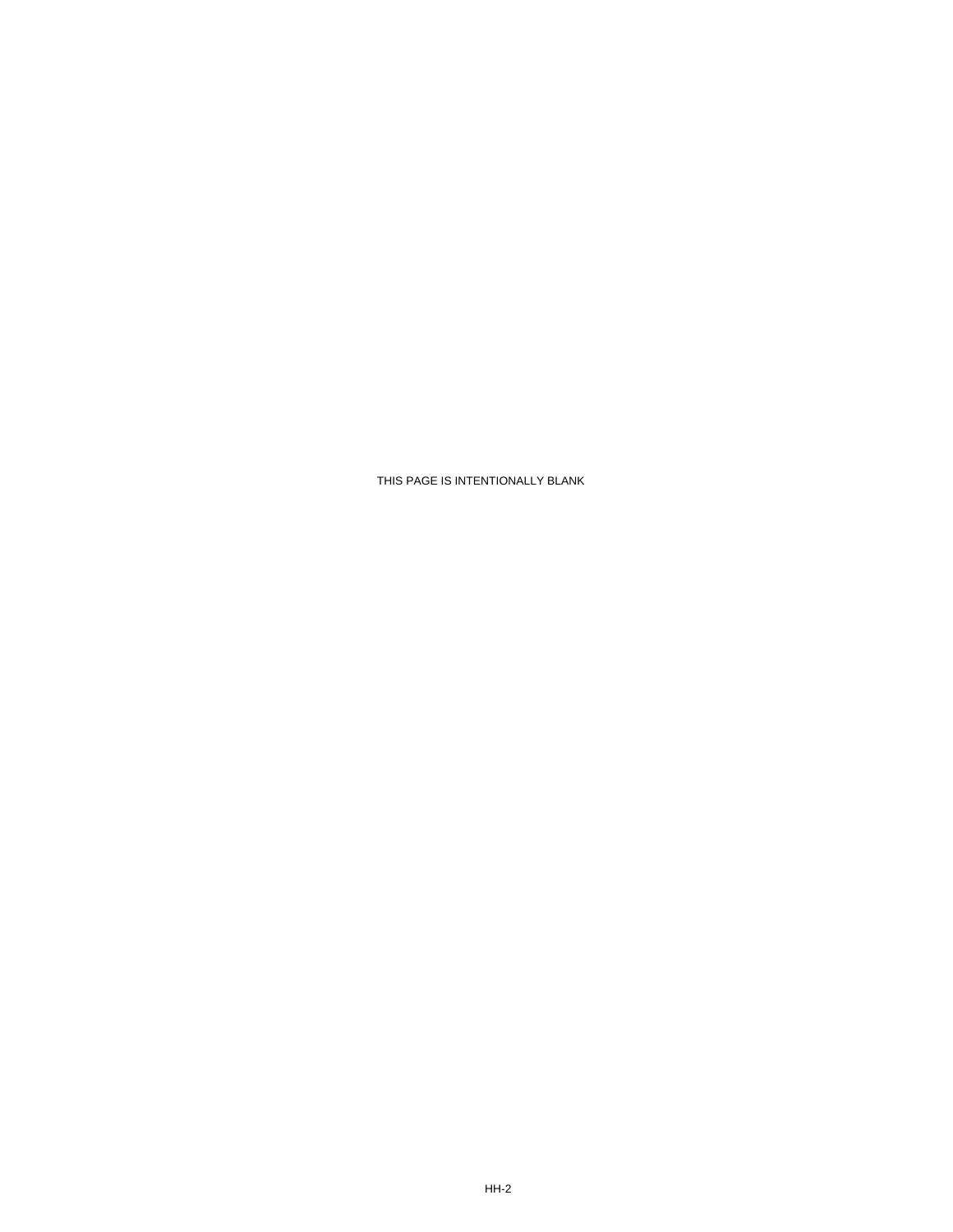THIS PAGE IS INTENTIONALLY BLANK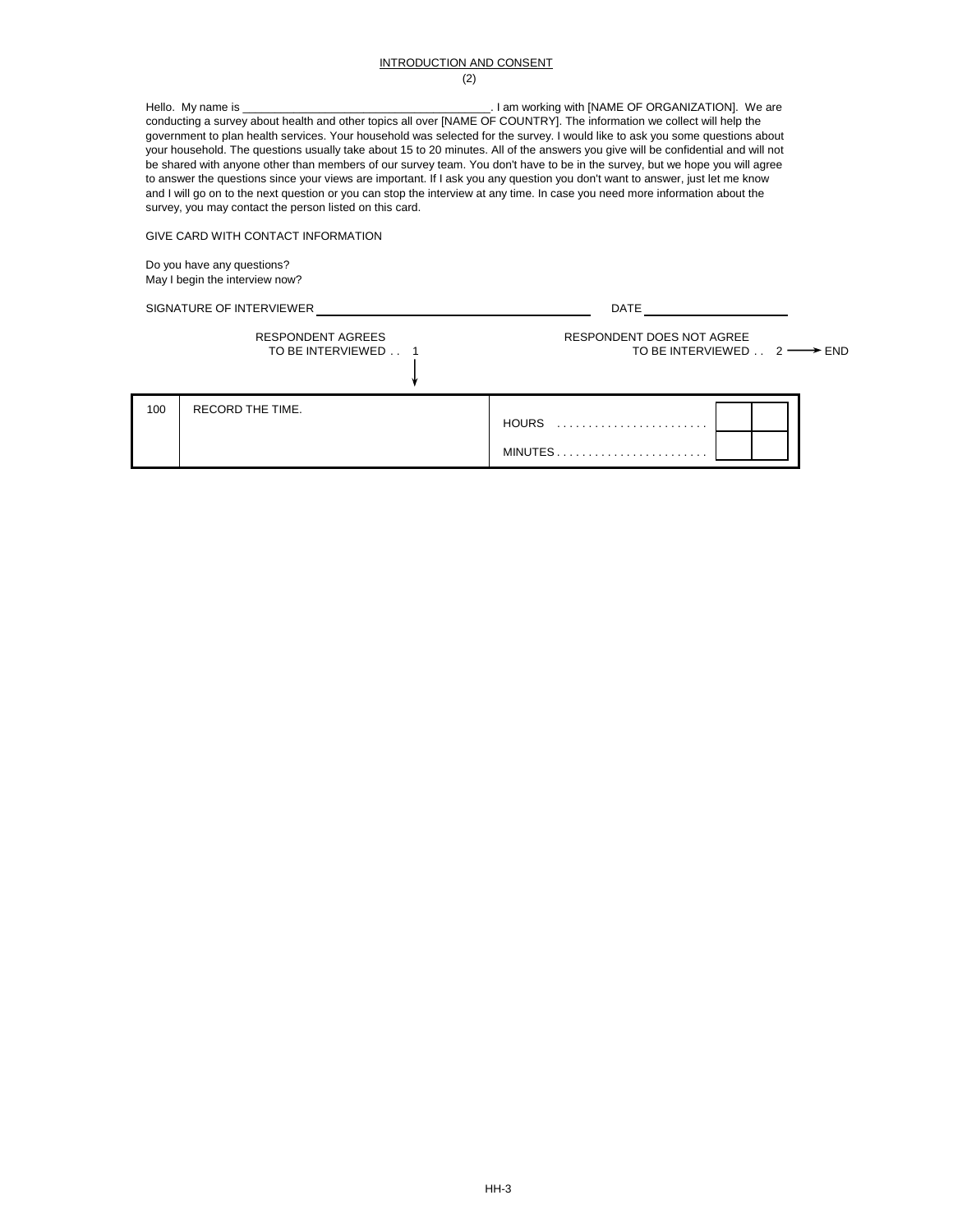# INTRODUCTION AND CONSENT

| × | ۰. | I<br>× |
|---|----|--------|

| Hello. My name is<br>conducting a survey about health and other topics all over [NAME OF COUNTRY]. The information we collect will help the<br>government to plan health services. Your household was selected for the survey. I would like to ask you some questions about<br>your household. The questions usually take about 15 to 20 minutes. All of the answers you give will be confidential and will not                                        | . I am working with [NAME OF ORGANIZATION]. We are |
|--------------------------------------------------------------------------------------------------------------------------------------------------------------------------------------------------------------------------------------------------------------------------------------------------------------------------------------------------------------------------------------------------------------------------------------------------------|----------------------------------------------------|
| be shared with anyone other than members of our survey team. You don't have to be in the survey, but we hope you will agree<br>to answer the questions since your views are important. If I ask you any question you don't want to answer, just let me know<br>and I will go on to the next question or you can stop the interview at any time. In case you need more information about the<br>survey, you may contact the person listed on this card. |                                                    |

## GIVE CARD WITH CONTACT INFORMATION

Do you have any questions? May I begin the interview now?

SIGNATURE OF INTERVIEWER **Example 2018** DATE DATE DATE

| RESPONDENT AGREES  |  |
|--------------------|--|
| TO BE INTERVIEWED. |  |
|                    |  |
|                    |  |

RESPONDENT DOES NOT AGREE TO BE INTERVIEWED . . 2 - END

| 100 | RECORD THE TIME. | <b>HOURS</b> |
|-----|------------------|--------------|
|     |                  | MINUTES      |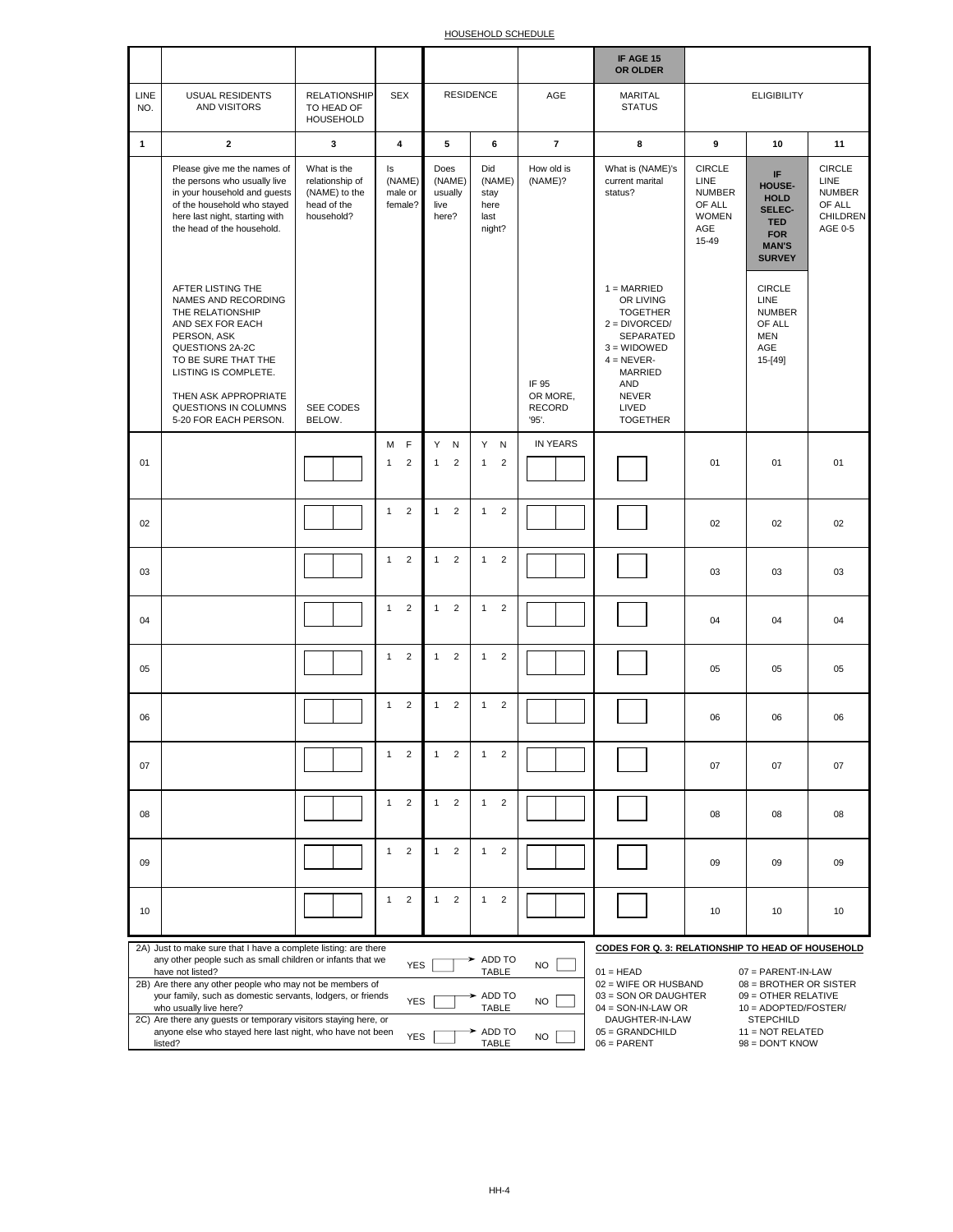|              |                                                                                                                                                                                                                                            |                                                                              |                                         |                                            |                                                 |                                             | IF AGE 15<br>OR OLDER                                                                                                                                                                |                                                                                  |                                                                                                     |                                                                         |
|--------------|--------------------------------------------------------------------------------------------------------------------------------------------------------------------------------------------------------------------------------------------|------------------------------------------------------------------------------|-----------------------------------------|--------------------------------------------|-------------------------------------------------|---------------------------------------------|--------------------------------------------------------------------------------------------------------------------------------------------------------------------------------------|----------------------------------------------------------------------------------|-----------------------------------------------------------------------------------------------------|-------------------------------------------------------------------------|
| LINE<br>NO.  | <b>USUAL RESIDENTS</b><br>AND VISITORS                                                                                                                                                                                                     | <b>RELATIONSHIP</b><br>TO HEAD OF<br><b>HOUSEHOLD</b>                        | <b>SEX</b>                              |                                            | <b>RESIDENCE</b>                                | AGE                                         | <b>MARITAL</b><br><b>STATUS</b>                                                                                                                                                      |                                                                                  | <b>ELIGIBILITY</b>                                                                                  |                                                                         |
| $\mathbf{1}$ | $\mathbf{2}$                                                                                                                                                                                                                               | 3                                                                            | $\overline{\mathbf{4}}$                 | 5                                          | 6                                               | $\overline{7}$                              | 8                                                                                                                                                                                    | 9                                                                                | 10                                                                                                  | 11                                                                      |
|              | Please give me the names of<br>the persons who usually live<br>in your household and guests<br>of the household who stayed<br>here last night, starting with<br>the head of the household.                                                 | What is the<br>relationship of<br>(NAME) to the<br>head of the<br>household? | Is<br>(NAME)<br>male or<br>female?      | Does<br>(NAME)<br>usually<br>live<br>here? | Did<br>(NAME)<br>stay<br>here<br>last<br>night? | How old is<br>(NAME)?                       | What is (NAME)'s<br>current marital<br>status?                                                                                                                                       | <b>CIRCLE</b><br>LINE<br><b>NUMBER</b><br>OF ALL<br><b>WOMEN</b><br>AGE<br>15-49 | IF.<br>HOUSE-<br><b>HOLD</b><br>SELEC-<br><b>TED</b><br><b>FOR</b><br><b>MAN'S</b><br><b>SURVEY</b> | <b>CIRCLE</b><br>LINE<br><b>NUMBER</b><br>OF ALL<br>CHILDREN<br>AGE 0-5 |
|              | AFTER LISTING THE<br>NAMES AND RECORDING<br>THE RELATIONSHIP<br>AND SEX FOR EACH<br>PERSON, ASK<br>QUESTIONS 2A-2C<br>TO BE SURE THAT THE<br>LISTING IS COMPLETE.<br>THEN ASK APPROPRIATE<br>QUESTIONS IN COLUMNS<br>5-20 FOR EACH PERSON. | SEE CODES<br>BELOW.                                                          |                                         |                                            |                                                 | IF 95<br>OR MORE,<br><b>RECORD</b><br>'95'. | $1 = MARKIED$<br>OR LIVING<br><b>TOGETHER</b><br>$2 = DIVORCED/$<br>SEPARATED<br>$3 = WIDOWED$<br>$4 = NEVER -$<br><b>MARRIED</b><br>AND<br><b>NEVER</b><br>LIVED<br><b>TOGETHER</b> |                                                                                  | <b>CIRCLE</b><br>LINE<br><b>NUMBER</b><br>OF ALL<br><b>MEN</b><br>AGE<br>15-[49]                    |                                                                         |
| 01           |                                                                                                                                                                                                                                            |                                                                              | $\mathsf F$<br>М<br>$\overline{2}$<br>1 | Y<br>$\mathsf{N}$<br>$\overline{2}$<br>1   | Υ<br>N<br>$\overline{2}$<br>1                   | <b>IN YEARS</b>                             |                                                                                                                                                                                      | 01                                                                               | 01                                                                                                  | 01                                                                      |
| 02           |                                                                                                                                                                                                                                            |                                                                              | $\mathbf{1}$<br>$\overline{2}$          | 1<br>$\overline{2}$                        | 2<br>$\mathbf{1}$                               |                                             |                                                                                                                                                                                      | 02                                                                               | 02                                                                                                  | 02                                                                      |
| 03           |                                                                                                                                                                                                                                            |                                                                              | $\overline{2}$<br>$\mathbf{1}$          | $\mathbf{1}$<br>$\overline{2}$             | $\mathbf{1}$<br>$\overline{2}$                  |                                             |                                                                                                                                                                                      | 03                                                                               | 03                                                                                                  | 03                                                                      |
| 04           |                                                                                                                                                                                                                                            |                                                                              | $\overline{2}$<br>$\mathbf{1}$          | $\overline{2}$<br>$\mathbf{1}$             | $\overline{2}$<br>1                             |                                             |                                                                                                                                                                                      | 04                                                                               | 04                                                                                                  | 04                                                                      |
| 05           |                                                                                                                                                                                                                                            |                                                                              | $\overline{2}$<br>$\mathbf{1}$          | $\overline{2}$<br>$\mathbf{1}$             | $\mathbf{1}$<br>$\overline{2}$                  |                                             |                                                                                                                                                                                      | 05                                                                               | 05                                                                                                  | 05                                                                      |
| 06           |                                                                                                                                                                                                                                            |                                                                              | $\sqrt{2}$<br>$\mathbf{1}$              | $\overline{2}$<br>$\mathbf{1}$             | $\overline{2}$<br>$\mathbf{1}$                  |                                             |                                                                                                                                                                                      | 06                                                                               | 06                                                                                                  | 06                                                                      |
| 07           |                                                                                                                                                                                                                                            |                                                                              | $\overline{2}$<br>$\mathbf{1}$          | $\overline{2}$<br>$\mathbf{1}$             | $\overline{2}$<br>$\mathbf{1}$                  |                                             |                                                                                                                                                                                      | 07                                                                               | 07                                                                                                  | 07                                                                      |
| 08           |                                                                                                                                                                                                                                            |                                                                              | 1<br>$\overline{2}$                     | 1<br>$\overline{2}$                        | $\mathbf{1}$<br>$\overline{2}$                  |                                             |                                                                                                                                                                                      | 08                                                                               | 08                                                                                                  | 08                                                                      |
| 09           |                                                                                                                                                                                                                                            |                                                                              | $\overline{2}$<br>$\mathbf{1}$          | $\overline{2}$<br>$\mathbf{1}$             | 1<br>2                                          |                                             |                                                                                                                                                                                      | 09                                                                               | 09                                                                                                  | 09                                                                      |
| 10           |                                                                                                                                                                                                                                            |                                                                              | $\overline{2}$<br>1                     | $\overline{2}$<br>1                        | 1<br>$\overline{2}$                             |                                             |                                                                                                                                                                                      | 10                                                                               | 10                                                                                                  | 10                                                                      |
|              | 2A) Just to make sure that I have a complete listing: are there<br>any other people such as small children or infants that we                                                                                                              |                                                                              |                                         |                                            | ADD TO                                          |                                             | CODES FOR Q. 3: RELATIONSHIP TO HEAD OF HOUSEHOLD                                                                                                                                    |                                                                                  |                                                                                                     |                                                                         |
|              | have not listed?<br>2B) Are there any other people who may not be members of<br>your family, such as domestic servants, lodgers, or friends<br>who usually live here?                                                                      |                                                                              | <b>YES</b><br><b>YES</b>                |                                            | <b>TABLE</b><br>ADD TO<br><b>TABLE</b>          | <b>NO</b><br><b>NO</b>                      | $01 = HEAD$<br>02 = WIFE OR HUSBAND<br>03 = SON OR DAUGHTER<br>$04 =$ SON-IN-LAW OR                                                                                                  |                                                                                  | 07 = PARENT-IN-LAW<br>08 = BROTHER OR SISTER<br>09 = OTHER RELATIVE<br>10 = ADOPTED/FOSTER/         |                                                                         |
|              | 2C) Are there any guests or temporary visitors staying here, or<br>anyone else who stayed here last night, who have not been<br>listed?                                                                                                    |                                                                              | <b>YES</b>                              |                                            | ADD TO<br><b>TABLE</b>                          | <b>NO</b>                                   | DAUGHTER-IN-LAW<br>05 = GRANDCHILD<br>$06 = PARENT$                                                                                                                                  |                                                                                  | <b>STEPCHILD</b><br>11 = NOT RELATED<br>98 = DON'T KNOW                                             |                                                                         |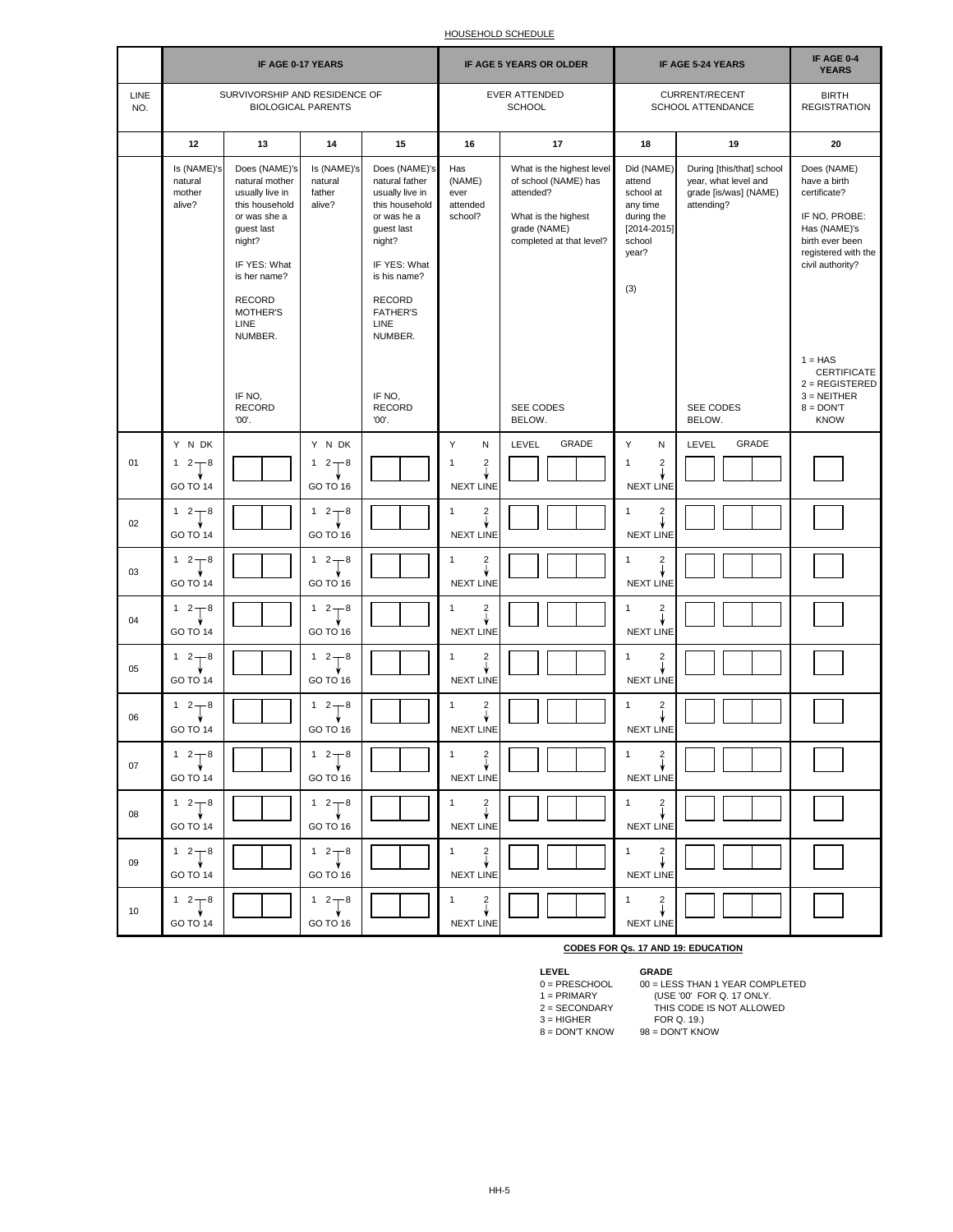|             | IF AGE 0-17 YEARS                             |                                                                                                                                                                                                            |                                            | IF AGE 5 YEARS OR OLDER                                                                                                                                                                            | IF AGE 5-24 YEARS                                                | IF AGE 0-4<br><b>YEARS</b>                                                                                                        |                                                                                                      |                                                                                          |                                                                                                                                            |
|-------------|-----------------------------------------------|------------------------------------------------------------------------------------------------------------------------------------------------------------------------------------------------------------|--------------------------------------------|----------------------------------------------------------------------------------------------------------------------------------------------------------------------------------------------------|------------------------------------------------------------------|-----------------------------------------------------------------------------------------------------------------------------------|------------------------------------------------------------------------------------------------------|------------------------------------------------------------------------------------------|--------------------------------------------------------------------------------------------------------------------------------------------|
| LINE<br>NO. |                                               | SURVIVORSHIP AND RESIDENCE OF<br><b>BIOLOGICAL PARENTS</b>                                                                                                                                                 |                                            |                                                                                                                                                                                                    |                                                                  | EVER ATTENDED<br><b>SCHOOL</b>                                                                                                    |                                                                                                      | <b>CURRENT/RECENT</b><br>SCHOOL ATTENDANCE                                               |                                                                                                                                            |
|             | 12                                            | 13                                                                                                                                                                                                         | 14                                         | 15                                                                                                                                                                                                 | 16                                                               | 17                                                                                                                                | 18                                                                                                   | 19                                                                                       | 20                                                                                                                                         |
|             | Is (NAME)'s<br>natural<br>mother<br>alive?    | Does (NAME)'s<br>natural mother<br>usually live in<br>this household<br>or was she a<br>guest last<br>night?<br>IF YES: What<br>is her name?<br><b>RECORD</b><br><b>MOTHER'S</b><br><b>LINE</b><br>NUMBER. | Is (NAME)'s<br>natural<br>father<br>alive? | Does (NAME)'s<br>natural father<br>usually live in<br>this household<br>or was he a<br>quest last<br>night?<br>IF YES: What<br>is his name?<br><b>RECORD</b><br><b>FATHER'S</b><br>LINE<br>NUMBER. | Has<br>(NAME)<br>ever<br>attended<br>school?                     | What is the highest level<br>of school (NAME) has<br>attended?<br>What is the highest<br>grade (NAME)<br>completed at that level? | Did (NAME)<br>attend<br>school at<br>any time<br>during the<br>[2014-2015]<br>school<br>year?<br>(3) | During [this/that] school<br>year, what level and<br>grade [is/was] (NAME)<br>attending? | Does (NAME)<br>have a birth<br>certificate?<br>IF NO, PROBE:<br>Has (NAME)'s<br>birth ever been<br>registered with the<br>civil authority? |
|             |                                               | IF NO,<br><b>RECORD</b><br>'00'.                                                                                                                                                                           |                                            | IF NO.<br><b>RECORD</b><br>'00'.                                                                                                                                                                   |                                                                  | SEE CODES<br>BELOW.                                                                                                               |                                                                                                      | SEE CODES<br>BELOW.                                                                      | $1 = HAS$<br><b>CERTIFICATE</b><br>$2 = REGISTERED$<br>$3 = NEITHER$<br>$8 =$ DON'T<br><b>KNOW</b>                                         |
| 01          | Y N DK<br>$2 - 8$<br>$\mathbf{1}$<br>GO TO 14 |                                                                                                                                                                                                            | Y N DK<br>$2 + 8$<br>1<br>GO TO 16         |                                                                                                                                                                                                    | Y<br>N<br>$\boldsymbol{2}$<br>1<br><b>NEXT LINE</b>              | <b>GRADE</b><br>LEVEL                                                                                                             | Y<br>N<br>2<br>1<br><b>NEXT LINE</b>                                                                 | GRADE<br>LEVEL                                                                           |                                                                                                                                            |
| 02          | 1 $2 - 8$<br>GO TO 14                         |                                                                                                                                                                                                            | $2 + 8$<br>$\mathbf{1}$<br>GO TO 16        |                                                                                                                                                                                                    | $\overline{2}$<br>1<br><b>NEXT LINE</b>                          |                                                                                                                                   | $\overline{c}$<br>$\mathbf{1}$<br><b>NEXT LINE</b>                                                   |                                                                                          |                                                                                                                                            |
| 03          | $1 \t2 + 8$<br>GO TO 14                       |                                                                                                                                                                                                            | $2 + 8$<br>$\mathbf{1}$<br>GO TO 16        |                                                                                                                                                                                                    | $\boldsymbol{2}$<br>1<br><b>NEXT LINE</b>                        |                                                                                                                                   | 2<br>1<br><b>NEXT LINE</b>                                                                           |                                                                                          |                                                                                                                                            |
| 04          | $1 \t2 + 8$<br>GO TO 14                       |                                                                                                                                                                                                            | $1 \t2 + 8$<br>GO TO 16                    |                                                                                                                                                                                                    | $\boldsymbol{2}$<br>$\mathbf{1}$<br><b>NEXT LINE</b>             |                                                                                                                                   | 2<br>$\mathbf{1}$<br><b>NEXT LINE</b>                                                                |                                                                                          |                                                                                                                                            |
| 05          | $1 \t2 + 8$<br>GO TO 14                       |                                                                                                                                                                                                            | $2 -$<br>$^{-8}$<br>1<br>GO TO 16          |                                                                                                                                                                                                    | $\frac{2}{3}$<br>1<br><b>NEXT LINE</b>                           |                                                                                                                                   | 2<br>1<br><b>NEXT LINE</b>                                                                           |                                                                                          |                                                                                                                                            |
| 06          | $1 \t2-8$<br>GO TO 14                         |                                                                                                                                                                                                            | $1 \t2^{-8}$<br>GO TO 16                   |                                                                                                                                                                                                    | $\overline{2}$<br>1<br><b>NEXT LINE</b>                          |                                                                                                                                   | 2<br>1<br><b>NEXT LINE</b>                                                                           |                                                                                          |                                                                                                                                            |
| 07          | $1^{2}$ $\sqrt{8}$<br>GO TO 14                |                                                                                                                                                                                                            | $1 \t2 \t3$<br>GO TO 16                    |                                                                                                                                                                                                    | $\frac{2}{1}$<br>1<br>NEXT LINE                                  |                                                                                                                                   | $\frac{2}{3}$<br>$\mathbf{1}$<br><b>NEXT LINE</b>                                                    |                                                                                          |                                                                                                                                            |
| 08          | $1 \t2 \t\sqrt{8}$<br>GO TO 14                |                                                                                                                                                                                                            | $1 \t2 \t\sqrt{8}$<br>GO TO 16             |                                                                                                                                                                                                    | $\begin{matrix} 1 & 2 \\ 4 & 1 \end{matrix}$<br><b>NEXT LINE</b> |                                                                                                                                   | $1 \qquad \qquad 2$<br>$\bar{\mathbf{V}}$<br><b>NEXT LINE</b>                                        |                                                                                          |                                                                                                                                            |
| 09          | 1278<br>$\overline{\phantom{a}}$<br>GO TO 14  |                                                                                                                                                                                                            | $1 \t2^{-8}$<br>$\mathbf{v}$<br>GO TO 16   |                                                                                                                                                                                                    | $\begin{matrix} 1 & 2 \\ 4 & 1 \end{matrix}$<br><b>NEXT LINE</b> |                                                                                                                                   | $\begin{array}{ccc} 1 & 2 \\ \downarrow & \downarrow \end{array}$<br><b>NEXT LINE</b>                |                                                                                          |                                                                                                                                            |
| 10          | $1^{2}$ $\sqrt{8}$<br>GO TO 14                |                                                                                                                                                                                                            | $1 \t2 \sqrt{8}$<br>GO TO 16               |                                                                                                                                                                                                    | 1 $\frac{2}{3}$<br><b>NEXT LINE</b>                              |                                                                                                                                   | 1 $\begin{matrix} 2 \\ 1 \end{matrix}$<br><b>NEXT LINE</b>                                           |                                                                                          |                                                                                                                                            |

### **CODES FOR Qs. 17 AND 19: EDUCATION**

**LEVEL<br>0 = PRESCHOOL<br>1 = PRIMARY** 

- 0 = PRESCHOOL 00 = LESS THAN 1 YEAR COMPLETED<br>1 = PRIMARY (USE '00' FOR Q. 17 ONLY.<br>2 = SECONDARY THIS CODE IS NOT ALLOWED
	-
- $2 = SECONDARY$ <br> $3 = HIGHER$ <br> $8 = DON'T KNOW$ 8 = DON'T KNOW 98 = DON'T KNOW

HH-5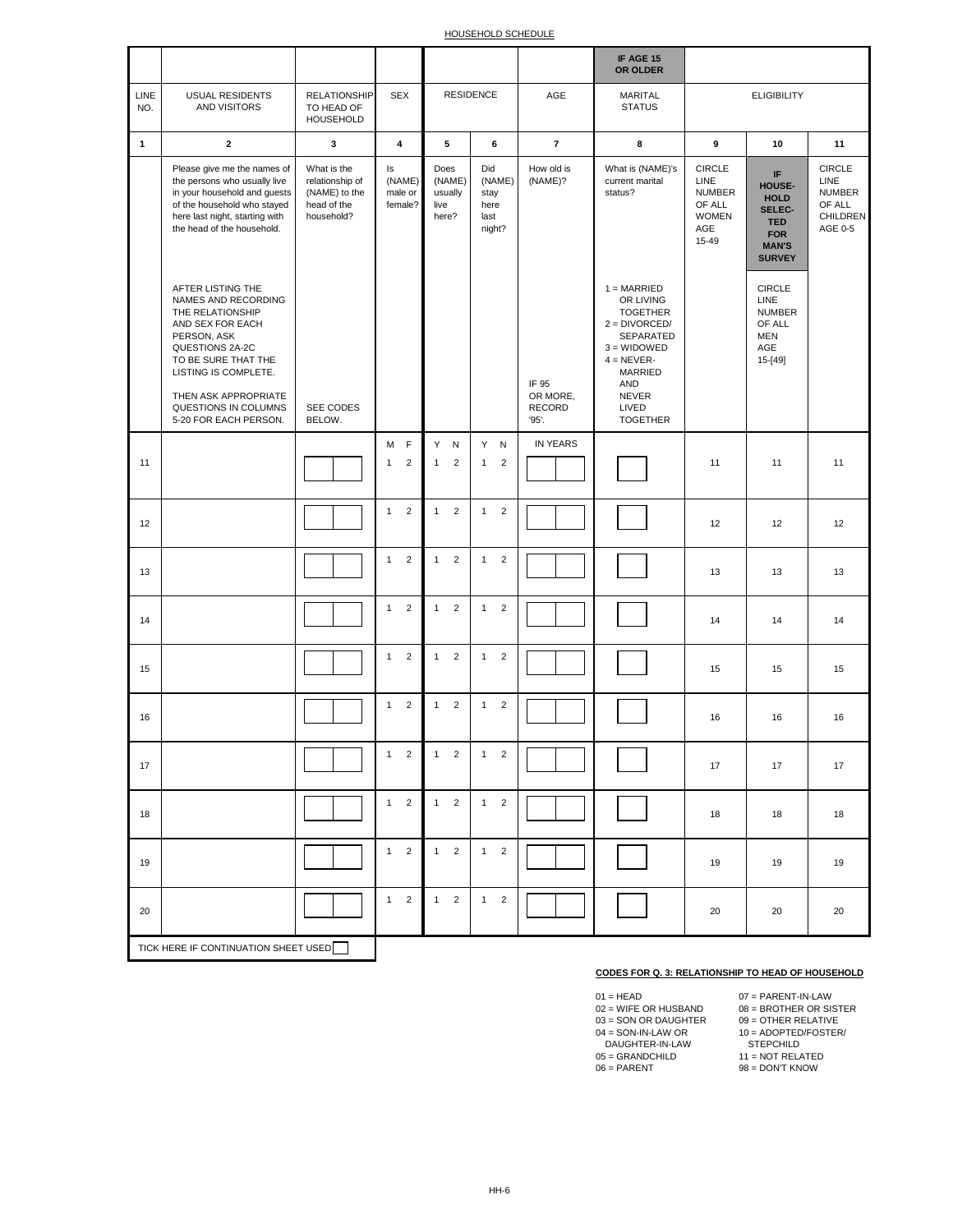|             |                                                                                                                                                                                                                                            |                                                                              |                                                    |                                                    |                                                 |                                      | IF AGE 15<br>OR OLDER                                                                                                                                                         |                                                                                  |                                                                                                    |                                                                                |
|-------------|--------------------------------------------------------------------------------------------------------------------------------------------------------------------------------------------------------------------------------------------|------------------------------------------------------------------------------|----------------------------------------------------|----------------------------------------------------|-------------------------------------------------|--------------------------------------|-------------------------------------------------------------------------------------------------------------------------------------------------------------------------------|----------------------------------------------------------------------------------|----------------------------------------------------------------------------------------------------|--------------------------------------------------------------------------------|
| LINE<br>NO. | USUAL RESIDENTS<br>AND VISITORS                                                                                                                                                                                                            | <b>RELATIONSHIP</b><br>TO HEAD OF<br><b>HOUSEHOLD</b>                        | <b>SEX</b>                                         | <b>RESIDENCE</b>                                   |                                                 | AGE                                  | <b>MARITAL</b><br><b>STATUS</b>                                                                                                                                               |                                                                                  | <b>ELIGIBILITY</b>                                                                                 |                                                                                |
| 1           | $\mathbf{2}$                                                                                                                                                                                                                               | 3                                                                            | 4                                                  | 5                                                  | 6                                               | $\overline{\mathbf{r}}$              | 8                                                                                                                                                                             | 9                                                                                | 10                                                                                                 | 11                                                                             |
|             | Please give me the names of<br>the persons who usually live<br>in your household and guests<br>of the household who stayed<br>here last night, starting with<br>the head of the household.                                                 | What is the<br>relationship of<br>(NAME) to the<br>head of the<br>household? | Is<br>(NAME)<br>male or<br>female?                 | Does<br>(NAME)<br>usually<br>live<br>here?         | Did<br>(NAME)<br>stay<br>here<br>last<br>night? | How old is<br>(NAME)?                | What is (NAME)'s<br>current marital<br>status?                                                                                                                                | CIRCLE<br><b>LINE</b><br><b>NUMBER</b><br>OF ALL<br><b>WOMEN</b><br>AGE<br>15-49 | IF<br>HOUSE-<br><b>HOLD</b><br>SELEC-<br><b>TED</b><br><b>FOR</b><br><b>MAN'S</b><br><b>SURVEY</b> | <b>CIRCLE</b><br><b>LINE</b><br><b>NUMBER</b><br>OF ALL<br>CHILDREN<br>AGE 0-5 |
|             | AFTER LISTING THE<br>NAMES AND RECORDING<br>THE RELATIONSHIP<br>AND SEX FOR EACH<br>PERSON, ASK<br>QUESTIONS 2A-2C<br>TO BE SURE THAT THE<br>LISTING IS COMPLETE.<br>THEN ASK APPROPRIATE<br>QUESTIONS IN COLUMNS<br>5-20 FOR EACH PERSON. | SEE CODES<br>BELOW.                                                          |                                                    |                                                    |                                                 | IF 95<br>OR MORE,<br>RECORD<br>'95'. | $1 = MARKIED$<br>OR LIVING<br><b>TOGETHER</b><br>$2 = DIVORCED/$<br>SEPARATED<br>$3 = WIDOWED$<br>$4 = NEVER -$<br>MARRIED<br>AND<br><b>NEVER</b><br>LIVED<br><b>TOGETHER</b> |                                                                                  | <b>CIRCLE</b><br>LINE<br><b>NUMBER</b><br>OF ALL<br><b>MEN</b><br>AGE<br>15-[49]                   |                                                                                |
| 11          |                                                                                                                                                                                                                                            |                                                                              | $\mathsf F$<br>М<br>$\overline{2}$<br>$\mathbf{1}$ | Y<br>$\mathsf N$<br>$\overline{2}$<br>$\mathbf{1}$ | Y N<br>$\overline{2}$<br>$\mathbf{1}$           | IN YEARS                             |                                                                                                                                                                               | 11                                                                               | 11                                                                                                 | 11                                                                             |
| 12          |                                                                                                                                                                                                                                            |                                                                              | $\overline{2}$<br>$\mathbf{1}$                     | $\overline{2}$<br>$\mathbf{1}$                     | $\overline{2}$<br>1                             |                                      |                                                                                                                                                                               | 12                                                                               | 12                                                                                                 | 12                                                                             |
| 13          |                                                                                                                                                                                                                                            |                                                                              | $\mathbf{1}$<br>$\overline{2}$                     | $\overline{2}$<br>$\mathbf{1}$                     | 1<br>$\overline{2}$                             |                                      |                                                                                                                                                                               | 13                                                                               | 13                                                                                                 | 13                                                                             |
| 14          |                                                                                                                                                                                                                                            |                                                                              | $\overline{2}$<br>$\mathbf{1}$                     | $\mathbf{1}$<br>$\overline{2}$                     | $\mathbf{1}$<br>2                               |                                      |                                                                                                                                                                               | 14                                                                               | 14                                                                                                 | 14                                                                             |
| 15          |                                                                                                                                                                                                                                            |                                                                              | $\overline{2}$<br>$\mathbf{1}$                     | $\mathbf{1}$<br>$\overline{2}$                     | $\overline{2}$<br>$\mathbf{1}$                  |                                      |                                                                                                                                                                               | 15                                                                               | 15                                                                                                 | 15                                                                             |
| 16          |                                                                                                                                                                                                                                            |                                                                              | $\overline{2}$<br>$\mathbf{1}$                     | $\overline{2}$<br>$\mathbf{1}$                     | 1<br>$\overline{2}$                             |                                      |                                                                                                                                                                               | 16                                                                               | 16                                                                                                 | 16                                                                             |
| 17          |                                                                                                                                                                                                                                            |                                                                              | $\overline{2}$<br>1                                | $\overline{2}$<br>1                                | $1 \quad 2$                                     |                                      |                                                                                                                                                                               | 17                                                                               | 17                                                                                                 | 17                                                                             |
| 18          |                                                                                                                                                                                                                                            |                                                                              | $1 \quad 2$                                        | $1 -$<br>$\overline{2}$                            | $1 \quad 2$                                     |                                      |                                                                                                                                                                               | 18                                                                               | 18                                                                                                 | 18                                                                             |
| 19          |                                                                                                                                                                                                                                            |                                                                              | $1 \quad 2$                                        | $1 \quad 2$                                        | $1 \quad 2$                                     |                                      |                                                                                                                                                                               | 19                                                                               | 19                                                                                                 | 19                                                                             |
| 20          |                                                                                                                                                                                                                                            |                                                                              | $1 \quad 2$                                        | $1 \quad 2$                                        | $1 \quad 2$                                     |                                      |                                                                                                                                                                               | 20                                                                               | 20                                                                                                 | 20                                                                             |

TICK HERE IF CONTINUATION SHEET USED

#### **CODES FOR Q. 3: RELATIONSHIP TO HEAD OF HOUSEHOLD**

01 = HEAD 07 = PARENT-IN-LAW 03 = SON OR DAUGHTER 09 = OTHER RELATIVE<br>04 = SON-IN-LAW OR 10 = ADOPTED/FOSTER/<br>DAUGHTER-IN-LAW 5TEPCHILD<br>05 = GRANDCHILD 11 = NOT RELATED

07 = PARENT-IN-LAW<br>08 = BROTHER OR SISTER<br>09 = OTHER RELATIVE<br>10 = ADOPTED/FOSTER/<br>STEPCHILD<br>11 = NOT RELATED 06 = PARENT 98 = DON'T KNOW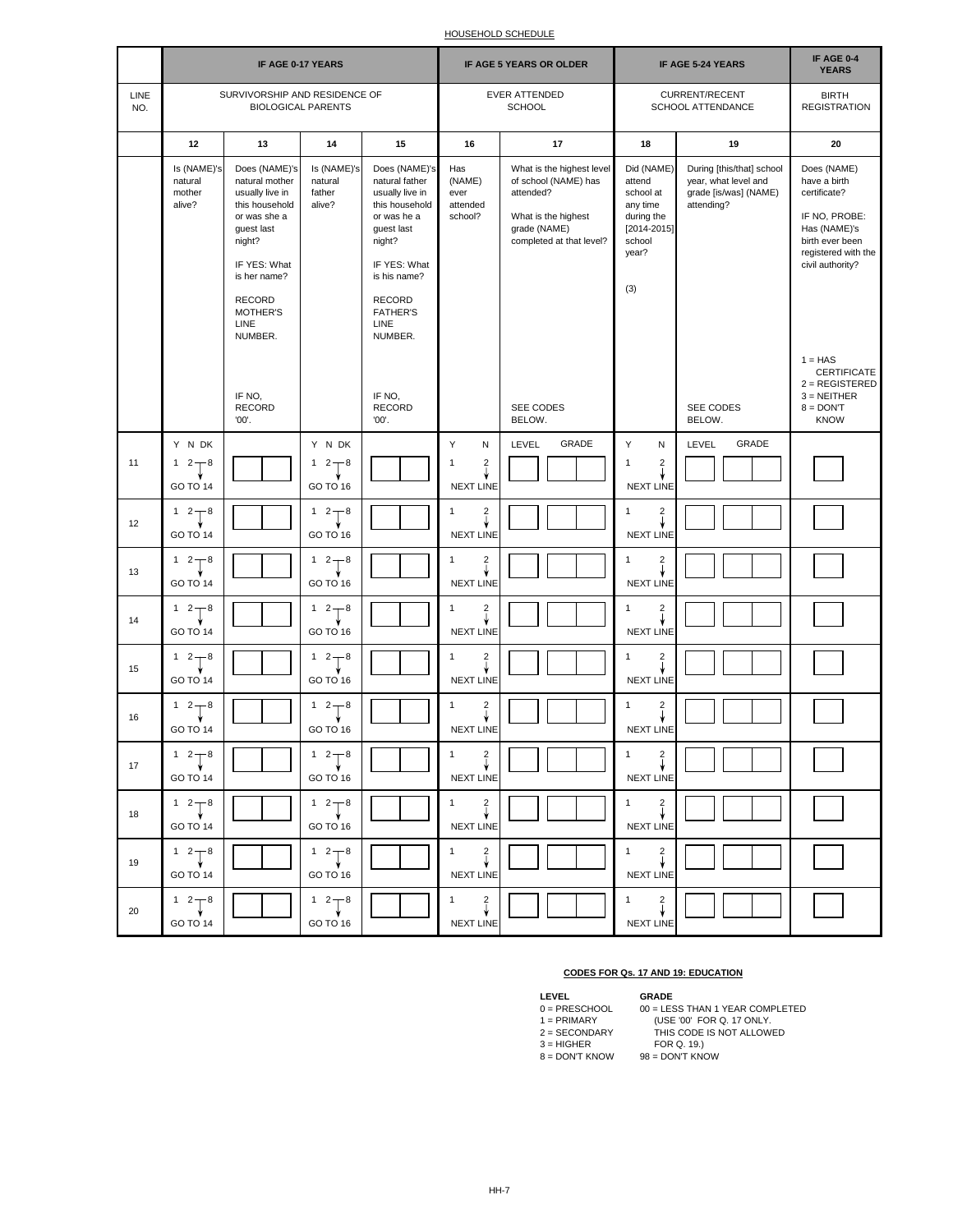|             | IF AGE 0-17 YEARS                          |                                                                                                                                                                                          |                                               | IF AGE 5 YEARS OR OLDER                                                                                                                                                                 |                                                                            | <b>IF AGE 5-24 YEARS</b>                                                                                                          | IF AGE 0-4<br><b>YEARS</b>                                                                           |                                                                                          |                                                                                                                                            |
|-------------|--------------------------------------------|------------------------------------------------------------------------------------------------------------------------------------------------------------------------------------------|-----------------------------------------------|-----------------------------------------------------------------------------------------------------------------------------------------------------------------------------------------|----------------------------------------------------------------------------|-----------------------------------------------------------------------------------------------------------------------------------|------------------------------------------------------------------------------------------------------|------------------------------------------------------------------------------------------|--------------------------------------------------------------------------------------------------------------------------------------------|
| LINE<br>NO. |                                            | SURVIVORSHIP AND RESIDENCE OF                                                                                                                                                            | <b>BIOLOGICAL PARENTS</b>                     |                                                                                                                                                                                         |                                                                            | EVER ATTENDED<br><b>SCHOOL</b>                                                                                                    | <b>CURRENT/RECENT</b><br>SCHOOL ATTENDANCE                                                           |                                                                                          | <b>BIRTH</b><br><b>REGISTRATION</b>                                                                                                        |
|             | 12                                         | 13                                                                                                                                                                                       | 14                                            | 15                                                                                                                                                                                      | 16                                                                         | 17                                                                                                                                | 18                                                                                                   | 19                                                                                       | 20                                                                                                                                         |
|             | Is (NAME)'s<br>natural<br>mother<br>alive? | Does (NAME)'s<br>natural mother<br>usually live in<br>this household<br>or was she a<br>guest last<br>night?<br>IF YES: What<br>is her name?<br><b>RECORD</b><br>MOTHER'S<br><b>LINE</b> | Is (NAME)'s<br>natural<br>father<br>alive?    | Does (NAME)'s<br>natural father<br>usually live in<br>this household<br>or was he a<br>guest last<br>night?<br>IF YES: What<br>is his name?<br><b>RECORD</b><br><b>FATHER'S</b><br>LINE | Has<br>(NAME)<br>ever<br>attended<br>school?                               | What is the highest level<br>of school (NAME) has<br>attended?<br>What is the highest<br>grade (NAME)<br>completed at that level? | Did (NAME)<br>attend<br>school at<br>any time<br>during the<br>[2014-2015]<br>school<br>year?<br>(3) | During [this/that] school<br>year, what level and<br>grade [is/was] (NAME)<br>attending? | Does (NAME)<br>have a birth<br>certificate?<br>IF NO, PROBE:<br>Has (NAME)'s<br>birth ever been<br>registered with the<br>civil authority? |
|             |                                            | NUMBER.<br>IF NO,<br><b>RECORD</b><br>'00'.                                                                                                                                              |                                               | NUMBER.<br>IF NO.<br><b>RECORD</b><br>'00'.                                                                                                                                             |                                                                            | SEE CODES<br>BELOW.                                                                                                               |                                                                                                      | SEE CODES<br>BELOW.                                                                      | $1 = HAS$<br><b>CERTIFICATE</b><br>$2 = REGISTERED$<br>$3 = NEITHER$<br>$8 =$ DON'T<br><b>KNOW</b>                                         |
| 11          | Y N DK<br>$12 - 8$<br>GO TO 14             |                                                                                                                                                                                          | Y N DK<br>$2 - 8$<br>$\mathbf{1}$<br>GO TO 16 |                                                                                                                                                                                         | Y<br>N<br>$\mathbf{1}$<br>$\overline{\mathbf{c}}$<br><b>NEXT LINE</b>      | GRADE<br>LEVEL                                                                                                                    | Y<br>N<br>2<br>1<br><b>NEXT LINE</b>                                                                 | <b>GRADE</b><br>LEVEL                                                                    |                                                                                                                                            |
| 12          | $1 \t2 + 8$<br>GO TO 14                    |                                                                                                                                                                                          | $2 + 8$<br>$\mathbf{1}$<br>GO TO 16           |                                                                                                                                                                                         | $\frac{2}{1}$<br>1<br><b>NEXT LINE</b>                                     |                                                                                                                                   | $\overline{2}$<br>1<br><b>NEXT LINE</b>                                                              |                                                                                          |                                                                                                                                            |
| 13          | $1 \t2 + 8$<br>GO TO 14                    |                                                                                                                                                                                          | $1 \t2 + 8$<br>GO TO 16                       |                                                                                                                                                                                         | $\sqrt{2}$<br>$\mathbf{1}$<br><b>NEXT LINE</b>                             |                                                                                                                                   | $\mathbf 2$<br>$\mathbf{1}$<br><b>NEXT LINE</b>                                                      |                                                                                          |                                                                                                                                            |
| 14          | $1 \t2 + 8$<br>GO TO 14                    |                                                                                                                                                                                          | $12 - 8$<br>GO TO 16                          |                                                                                                                                                                                         | $\overline{2}$<br>1<br><b>NEXT LINE</b>                                    |                                                                                                                                   | $\mathbf{1}$<br>$\overline{\mathbf{c}}$<br><b>NEXT LINE</b>                                          |                                                                                          |                                                                                                                                            |
| 15          | $1 \t2+8$<br>GO TO 14                      |                                                                                                                                                                                          | $1 \t2-8$<br>GO TO 16                         |                                                                                                                                                                                         | $\sqrt{2}$<br>$\mathbf{1}$<br><b>NEXT LINE</b>                             |                                                                                                                                   | $\mathbf{1}$<br>$\overline{\mathbf{c}}$<br><b>NEXT LINE</b>                                          |                                                                                          |                                                                                                                                            |
| 16          | $12 - 8$<br>GO TO 14                       |                                                                                                                                                                                          | $1 \t2 + 8$<br>GO TO 16                       |                                                                                                                                                                                         | $\frac{2}{1}$<br>1<br><b>NEXT LINE</b>                                     |                                                                                                                                   | $\overline{\mathbf{c}}$<br>1<br><b>NEXT LINE</b>                                                     |                                                                                          |                                                                                                                                            |
| 17          | $12 - 8$<br>GO TO 14                       |                                                                                                                                                                                          | $1 \t2 \t\sqrt{8}$<br>GO TO 16                |                                                                                                                                                                                         | $\frac{2}{4}$<br>1<br><b>NEXT LINE</b>                                     |                                                                                                                                   | $\mathbf{1}$<br>$\frac{2}{1}$<br>NEXT LINE                                                           |                                                                                          |                                                                                                                                            |
| 18          | 1 $2 + 8$<br>GO TO 14                      |                                                                                                                                                                                          | $1 \t2 \t\sqrt{8}$<br>GO TO 16                |                                                                                                                                                                                         | $\begin{array}{ccc} 1 & 2 \\ 1 & \sqrt{1} \end{array}$<br>NEXT LINE        |                                                                                                                                   | $1 \qquad \qquad 2$<br>$\downarrow$<br><b>NEXT LINE</b>                                              |                                                                                          |                                                                                                                                            |
| 19          | $1 \t2 \t3$<br>GO TO 14                    |                                                                                                                                                                                          | $1 \t2 \t3$<br>GO TO 16                       |                                                                                                                                                                                         | $\begin{array}{ccc} 1 & 2 \\ 1 & \sqrt{1} \end{array}$<br><b>NEXT LINE</b> |                                                                                                                                   | $\begin{array}{ccc} - & & & \\ 1 & & 2 \\ & & & \end{array}$<br><b>NEXT LINE</b>                     |                                                                                          |                                                                                                                                            |
| 20          | $1^{2}$ $\sqrt{8}$<br>GO TO 14             |                                                                                                                                                                                          | $1 \t2 \t\sqrt{8}$<br>GO TO 16                |                                                                                                                                                                                         | 1 $\frac{2}{3}$<br><b>NEXT LINE</b>                                        |                                                                                                                                   | 1 $\begin{matrix} 2 \\ 1 \end{matrix}$<br>NEXT LINE                                                  |                                                                                          |                                                                                                                                            |

#### **CODES FOR Qs. 17 AND 19: EDUCATION**

#### **LEVEL GRADE**

- 
- 
- 
- 8 = DON'T KNOW 98 = DON'T KNOW
- 0 = PRESCHOOL 00 = LESS THAN 1 YEAR COMPLETED 1 = PRIMARY (USE '00' FOR Q. 17 ONLY. 2 = SECONDARY THIS CODE IS NOT ALLOWED 3 = HIGHER FOR Q. 19.)
	-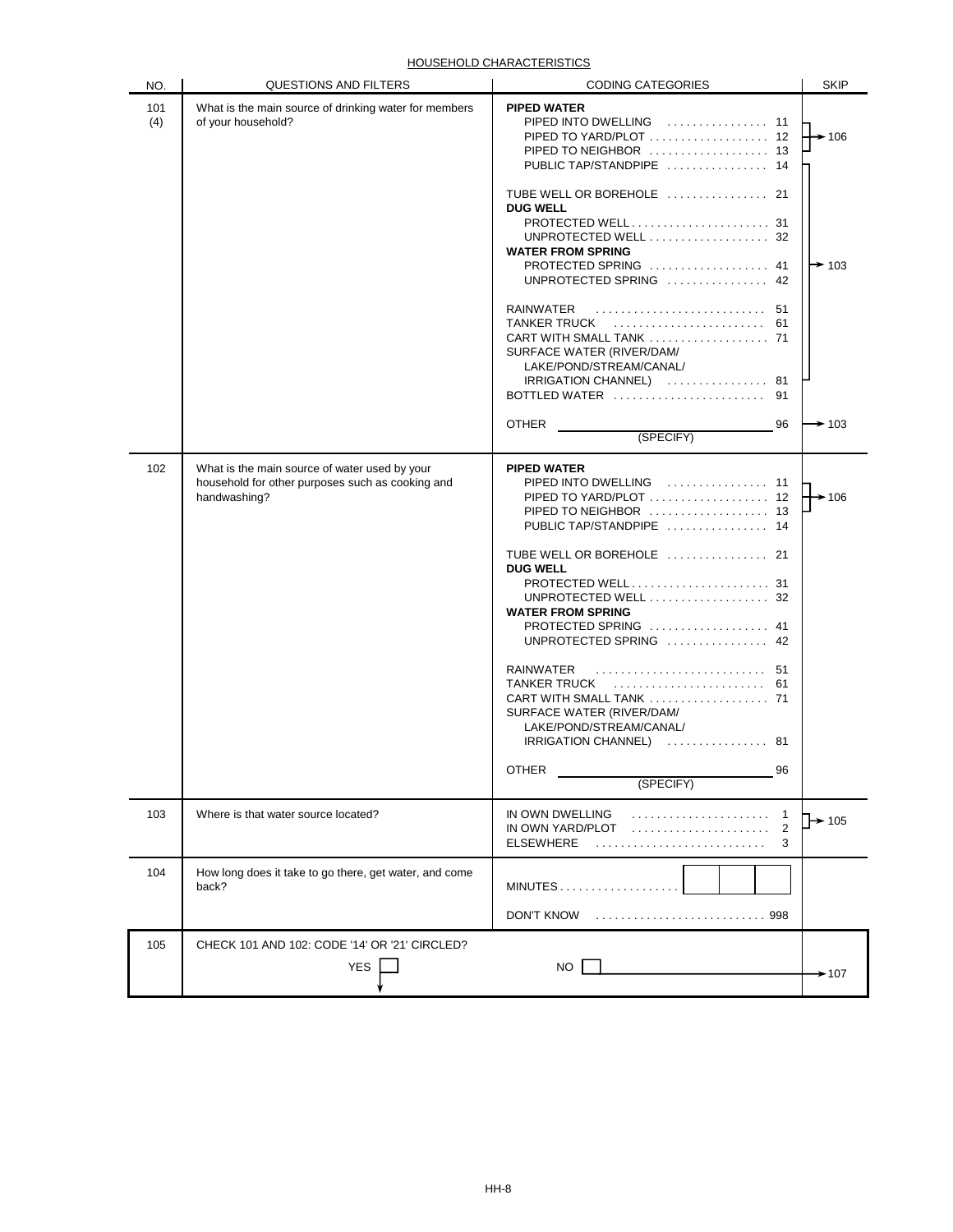| NO.        | QUESTIONS AND FILTERS                                                                                             | <b>CODING CATEGORIES</b>                                                                                                                                                                                                                                                                                                                                                                                                                                                                  | <b>SKIP</b>                                          |
|------------|-------------------------------------------------------------------------------------------------------------------|-------------------------------------------------------------------------------------------------------------------------------------------------------------------------------------------------------------------------------------------------------------------------------------------------------------------------------------------------------------------------------------------------------------------------------------------------------------------------------------------|------------------------------------------------------|
| 101<br>(4) | What is the main source of drinking water for members<br>of your household?                                       | <b>PIPED WATER</b><br>PIPED INTO DWELLING  11<br>PIPED TO YARD/PLOT  12<br>PUBLIC TAP/STANDPIPE  14<br>TUBE WELL OR BOREHOLE  21<br><b>DUG WELL</b><br>PROTECTED WELL 31<br>UNPROTECTED WELL  32<br><b>WATER FROM SPRING</b><br>PROTECTED SPRING  41<br>UNPROTECTED SPRING  42<br>RAINWATER<br><b>TANKER TRUCK</b><br>CART WITH SMALL TANK  71<br>SURFACE WATER (RIVER/DAM/<br>LAKE/POND/STREAM/CANAL/<br>IRRIGATION CHANNEL)  81<br>BOTTLED WATER  91<br><b>OTHER</b><br>96<br>(SPECIFY) | $\div 106$<br>$\rightarrow$ 103<br>$\rightarrow$ 103 |
| 102        | What is the main source of water used by your<br>household for other purposes such as cooking and<br>handwashing? | <b>PIPED WATER</b><br>PIPED INTO DWELLING  11<br>PUBLIC TAP/STANDPIPE  14<br>TUBE WELL OR BOREHOLE  21<br><b>DUG WELL</b><br>PROTECTED WELL 31<br>UNPROTECTED WELL  32<br><b>WATER FROM SPRING</b><br>PROTECTED SPRING  41<br>UNPROTECTED SPRING  42<br><b>RAINWATER</b><br>TANKER TRUCK  61<br>CART WITH SMALL TANK  71<br>SURFACE WATER (RIVER/DAM/<br>LAKE/POND/STREAM/CANAL/<br>IRRIGATION CHANNEL)  81<br><b>OTHER</b><br>96<br>(SPECIFY)                                            | $\rightarrow$ 106                                    |
| 103        | Where is that water source located?                                                                               | IN OWN DWELLING<br>1<br>IN OWN YARD/PLOT<br>2<br><b>ELSEWHERE</b><br>3                                                                                                                                                                                                                                                                                                                                                                                                                    | $\rightarrow$ 105                                    |
| 104        | How long does it take to go there, get water, and come<br>back?                                                   | MINUTES<br>DON'T KNOW                                                                                                                                                                                                                                                                                                                                                                                                                                                                     |                                                      |
| 105        | CHECK 101 AND 102: CODE '14' OR '21' CIRCLED?<br><b>YES</b>                                                       | NO.                                                                                                                                                                                                                                                                                                                                                                                                                                                                                       | $\div 107$                                           |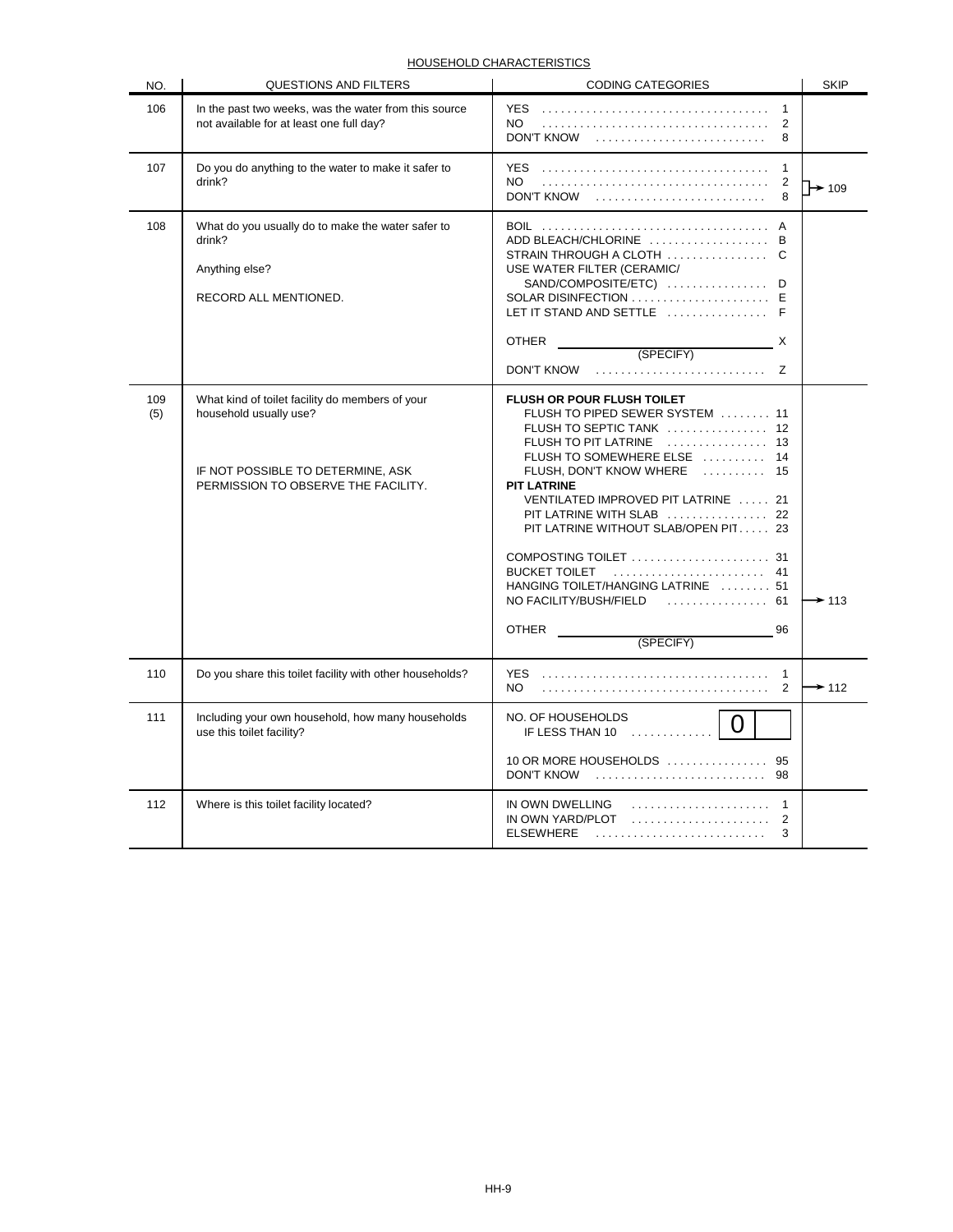| NO.        | QUESTIONS AND FILTERS                                                                                                                                 | <b>CODING CATEGORIES</b>                                                                                                                                                                                                                                                                                                                                                                                                                                                                       | <b>SKIP</b>       |
|------------|-------------------------------------------------------------------------------------------------------------------------------------------------------|------------------------------------------------------------------------------------------------------------------------------------------------------------------------------------------------------------------------------------------------------------------------------------------------------------------------------------------------------------------------------------------------------------------------------------------------------------------------------------------------|-------------------|
| 106        | In the past two weeks, was the water from this source<br>not available for at least one full day?                                                     | $\mathbf{1}$<br>NO.<br>2<br>$DON'T$ KNOW<br>8                                                                                                                                                                                                                                                                                                                                                                                                                                                  |                   |
| 107        | Do you do anything to the water to make it safer to<br>drink?                                                                                         | <b>YES</b><br>$\mathbf{1}$<br>NO.<br>2<br>8<br>DON'T KNOW                                                                                                                                                                                                                                                                                                                                                                                                                                      | $\rightarrow$ 109 |
| 108        | What do you usually do to make the water safer to<br>drink?<br>Anything else?<br>RECORD ALL MENTIONED.                                                | ADD BLEACH/CHLORINE<br>B<br>STRAIN THROUGH A CLOTH<br>C<br>USE WATER FILTER (CERAMIC/<br>SAND/COMPOSITE/ETC) D<br>SOLAR DISINFECTION  E<br>LET IT STAND AND SETTLE<br>F<br><b>OTHER</b><br>X<br>(SPECIFY)<br><b>DON'T KNOW</b><br>z                                                                                                                                                                                                                                                            |                   |
| 109<br>(5) | What kind of toilet facility do members of your<br>household usually use?<br>IF NOT POSSIBLE TO DETERMINE, ASK<br>PERMISSION TO OBSERVE THE FACILITY. | <b>FLUSH OR POUR FLUSH TOILET</b><br>FLUSH TO PIPED SEWER SYSTEM  11<br>FLUSH TO SEPTIC TANK  12<br>FLUSH TO PIT LATRINE  13<br>FLUSH TO SOMEWHERE ELSE  14<br>FLUSH, DON'T KNOW WHERE  15<br><b>PIT LATRINE</b><br>VENTILATED IMPROVED PIT LATRINE  21<br>PIT LATRINE WITH SLAB  22<br>PIT LATRINE WITHOUT SLAB/OPEN PIT 23<br>COMPOSTING TOILET  31<br><b>BUCKET TOILET</b><br>41<br>HANGING TOILET/HANGING LATRINE  51<br>NO FACILITY/BUSH/FIELD<br>. 61<br><b>OTHER</b><br>96<br>(SPECIFY) | $\rightarrow$ 113 |
| 110        | Do you share this toilet facility with other households?                                                                                              | YES.<br>$\mathbf{1}$<br>NO.<br>2                                                                                                                                                                                                                                                                                                                                                                                                                                                               | $\rightarrow$ 112 |
| 111        | Including your own household, how many households<br>use this toilet facility?                                                                        | NO. OF HOUSEHOLDS<br>( )<br>IF LESS THAN 10<br>10 OR MORE HOUSEHOLDS<br>95<br><b>DON'T KNOW</b><br>98                                                                                                                                                                                                                                                                                                                                                                                          |                   |
| 112        | Where is this toilet facility located?                                                                                                                | IN OWN DWELLING<br>$\mathbf{1}$<br>IN OWN YARD/PLOT<br>2<br><b>ELSEWHERE</b><br>3                                                                                                                                                                                                                                                                                                                                                                                                              |                   |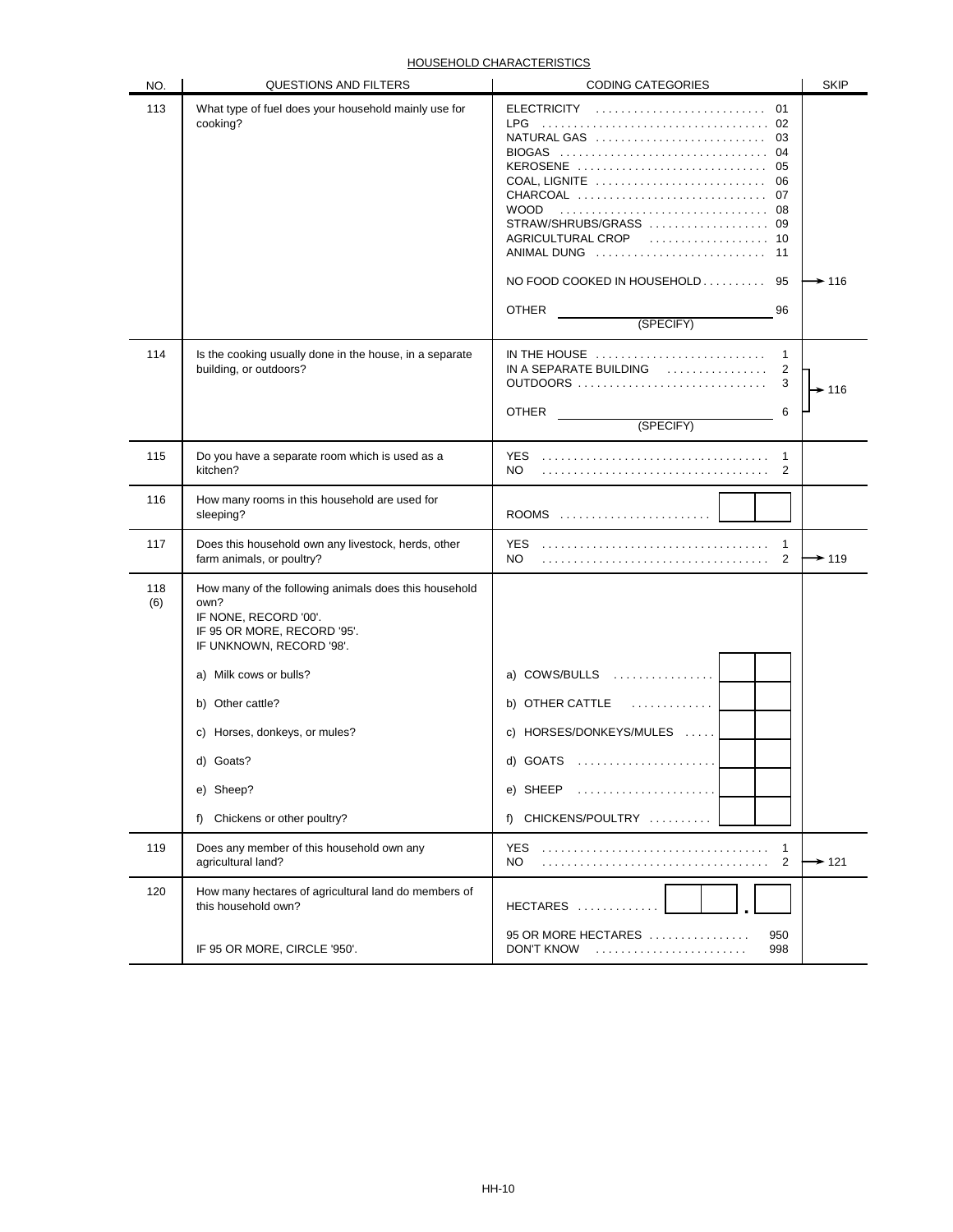| NO.        | QUESTIONS AND FILTERS                                                                                                                             | <b>CODING CATEGORIES</b>                                                                                                                                          | <b>SKIP</b>       |
|------------|---------------------------------------------------------------------------------------------------------------------------------------------------|-------------------------------------------------------------------------------------------------------------------------------------------------------------------|-------------------|
| 113        | What type of fuel does your household mainly use for<br>cooking?                                                                                  | <b>ELECTRICITY</b><br><b>LPG</b><br>KEROSENE  05<br><b>WOOD</b><br>STRAW/SHRUBS/GRASS  09<br><b>AGRICULTURAL CROP</b><br>NO FOOD COOKED IN HOUSEHOLD 95           | $\rightarrow$ 116 |
|            |                                                                                                                                                   | <b>OTHER</b><br>96<br>(SPECIFY)                                                                                                                                   |                   |
| 114        | Is the cooking usually done in the house, in a separate<br>building, or outdoors?                                                                 | IN THE HOUSE $\ldots \ldots \ldots \ldots \ldots \ldots \ldots \ldots$<br>$\mathbf{1}$<br>IN A SEPARATE BUILDING<br>.<br>2<br>3<br>6<br><b>OTHER</b><br>(SPECIFY) | $\div$ 116        |
| 115        | Do you have a separate room which is used as a<br>kitchen?                                                                                        | <b>YES</b><br>1<br>NO.<br>2                                                                                                                                       |                   |
| 116        | How many rooms in this household are used for<br>sleeping?                                                                                        |                                                                                                                                                                   |                   |
| 117        | Does this household own any livestock, herds, other<br>farm animals, or poultry?                                                                  | <b>YES</b><br>1<br>NO.<br>2                                                                                                                                       | $\rightarrow$ 119 |
| 118<br>(6) | How many of the following animals does this household<br>own?<br>IF NONE, RECORD '00'.<br>IF 95 OR MORE, RECORD '95'.<br>IF UNKNOWN, RECORD '98'. |                                                                                                                                                                   |                   |
|            | a) Milk cows or bulls?                                                                                                                            | a) COWS/BULLS                                                                                                                                                     |                   |
|            | Other cattle?<br>b)                                                                                                                               | b) OTHER CATTLE<br>.                                                                                                                                              |                   |
|            | Horses, donkeys, or mules?<br>C)                                                                                                                  | c) HORSES/DONKEYS/MULES                                                                                                                                           |                   |
|            | d) Goats?                                                                                                                                         | d) GOATS                                                                                                                                                          |                   |
|            | e) Sheep?                                                                                                                                         | e) SHEEP                                                                                                                                                          |                   |
|            | Chickens or other poultry?<br>f)                                                                                                                  | f) CHICKENS/POULTRY                                                                                                                                               |                   |
| 119        | Does any member of this household own any<br>agricultural land?                                                                                   | <b>YES</b><br>1<br>NO.<br>2                                                                                                                                       | $\rightarrow$ 121 |
| 120        | How many hectares of agricultural land do members of<br>this household own?                                                                       | HECTARES                                                                                                                                                          |                   |
|            | IF 95 OR MORE, CIRCLE '950'.                                                                                                                      | 95 OR MORE HECTARES<br>950<br><b>DON'T KNOW</b><br>998                                                                                                            |                   |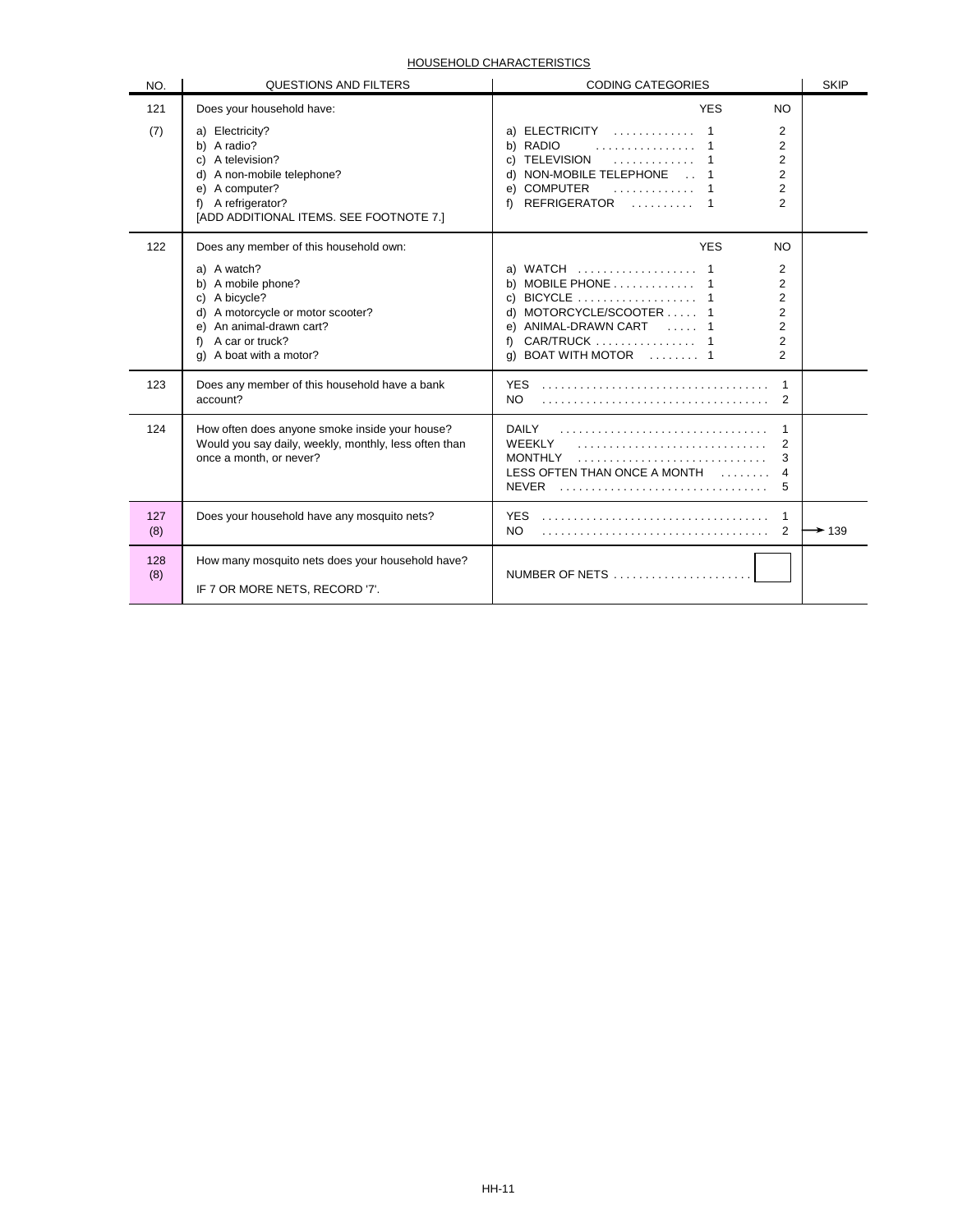| NO.        | <b>QUESTIONS AND FILTERS</b>                                                                                                                                                                                                  | <b>CODING CATEGORIES</b>                                                                                                                                                                                                                                                                            | <b>SKIP</b>       |
|------------|-------------------------------------------------------------------------------------------------------------------------------------------------------------------------------------------------------------------------------|-----------------------------------------------------------------------------------------------------------------------------------------------------------------------------------------------------------------------------------------------------------------------------------------------------|-------------------|
| 121<br>(7) | Does your household have:<br>a) Electricity?<br>b) A radio?<br>c) A television?<br>A non-mobile telephone?<br>d)<br>A computer?<br>e)<br>A refrigerator?<br>f)<br>[ADD ADDITIONAL ITEMS. SEE FOOTNOTE 7.]                     | <b>YES</b><br><b>NO</b><br>a) ELECTRICITY<br>2<br>$\overline{2}$<br>b) RADIO<br>.<br>c) TELEVISION $\ldots$<br>$\overline{2}$<br>d) NON-MOBILE TELEPHONE<br>$\overline{2}$<br>$e)$ COMPUTER $\ldots$<br>$\overline{2}$<br>REFRIGERATOR<br>$\overline{2}$<br>f)                                      |                   |
| 122        | Does any member of this household own:<br>a) A watch?<br>b) A mobile phone?<br>A bicycle?<br>C)<br>A motorcycle or motor scooter?<br>d)<br>An animal-drawn cart?<br>e)<br>A car or truck?<br>f)<br>A boat with a motor?<br>a) | <b>YES</b><br><b>NO</b><br>a) WATCH  1<br>2<br>b) MOBILE PHONE 1<br>$\overline{2}$<br>c) BICYCLE  1<br>$\overline{2}$<br>d) MOTORCYCLE/SCOOTER  1<br>$\overline{2}$<br>$\overline{2}$<br>e) ANIMAL-DRAWN CART  1<br>$\overline{2}$<br>CAR/TRUCK<br>f)<br>$\overline{2}$<br>BOAT WITH MOTOR  1<br>a) |                   |
| 123        | Does any member of this household have a bank<br>account?                                                                                                                                                                     | -1<br>NO.<br>$\overline{2}$                                                                                                                                                                                                                                                                         |                   |
| 124        | How often does anyone smoke inside your house?<br>Would you say daily, weekly, monthly, less often than<br>once a month, or never?                                                                                            | <b>DAILY</b><br>1<br><b>WEEKLY</b><br>2<br><b>MONTHLY</b><br>3<br>LESS OFTEN THAN ONCE A MONTH<br>4<br>NEVER<br>5                                                                                                                                                                                   |                   |
| 127<br>(8) | Does your household have any mosquito nets?                                                                                                                                                                                   | <b>YES</b><br>1<br>NO.<br>2                                                                                                                                                                                                                                                                         | $\rightarrow$ 139 |
| 128<br>(8) | How many mosquito nets does your household have?<br>IF 7 OR MORE NETS, RECORD '7'.                                                                                                                                            | NUMBER OF NETS                                                                                                                                                                                                                                                                                      |                   |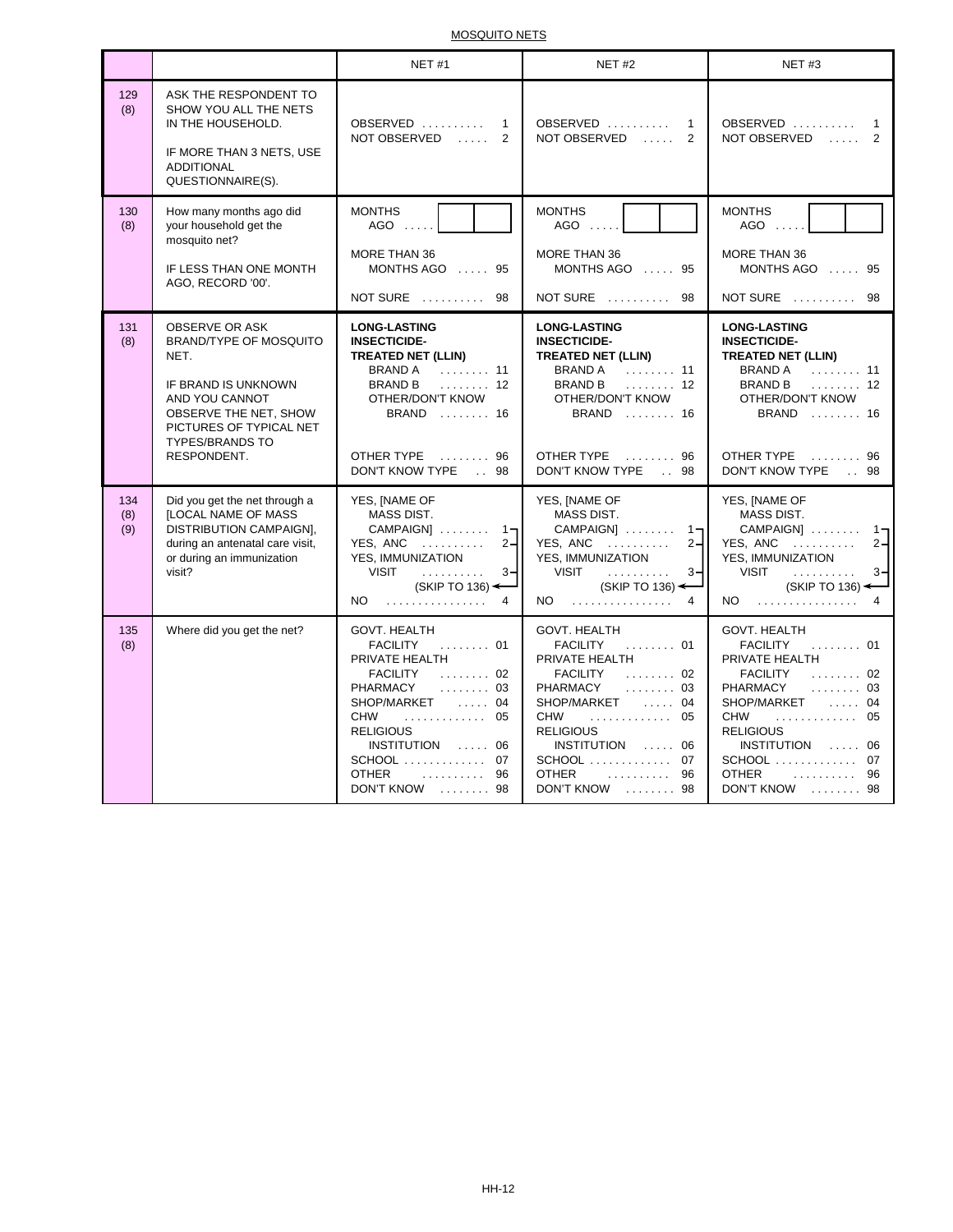# MOSQUITO NETS

|                   |                                                                                                                                                                                                      | <b>NET#1</b>                                                                                                                                                                                                                                                                                                                                                                                                                                                                                                                                                                                                                                              | <b>NET #2</b>                                                                                                                                                                                                                                                                       | NET <sub>#3</sub>                                                                                                                                                                                                                                                                   |
|-------------------|------------------------------------------------------------------------------------------------------------------------------------------------------------------------------------------------------|-----------------------------------------------------------------------------------------------------------------------------------------------------------------------------------------------------------------------------------------------------------------------------------------------------------------------------------------------------------------------------------------------------------------------------------------------------------------------------------------------------------------------------------------------------------------------------------------------------------------------------------------------------------|-------------------------------------------------------------------------------------------------------------------------------------------------------------------------------------------------------------------------------------------------------------------------------------|-------------------------------------------------------------------------------------------------------------------------------------------------------------------------------------------------------------------------------------------------------------------------------------|
| 129<br>(8)        | ASK THE RESPONDENT TO<br>SHOW YOU ALL THE NETS<br>IN THE HOUSEHOLD.<br>IF MORE THAN 3 NETS, USE<br><b>ADDITIONAL</b><br>QUESTIONNAIRE(S).                                                            | OBSERVED<br>$\mathbf{1}$<br>NOT OBSERVED<br>$\mathcal{P}$                                                                                                                                                                                                                                                                                                                                                                                                                                                                                                                                                                                                 | OBSERVED  1<br>NOT OBSERVED<br>$\mathcal{P}$                                                                                                                                                                                                                                        | OBSERVED<br>1<br>NOT OBSERVED<br><b>Carl Carl</b><br>$\mathcal{P}$                                                                                                                                                                                                                  |
| 130<br>(8)        | How many months ago did<br>your household get the<br>mosquito net?<br>IF LESS THAN ONE MONTH<br>AGO, RECORD '00'.                                                                                    | <b>MONTHS</b><br>AGO<br><b>MORE THAN 36</b><br>MONTHS AGO  95<br>NOT SURE  98                                                                                                                                                                                                                                                                                                                                                                                                                                                                                                                                                                             | <b>MONTHS</b><br>AGO<br>MORE THAN 36<br>MONTHS AGO  95<br>NOT SURE $\dots\dots\dots$<br>98                                                                                                                                                                                          | <b>MONTHS</b><br>AGO<br>MORE THAN 36<br>MONTHS AGO  95<br>NOT SURE<br>98                                                                                                                                                                                                            |
| 131<br>(8)        | <b>OBSERVE OR ASK</b><br><b>BRAND/TYPE OF MOSQUITO</b><br>NET.<br>IF BRAND IS UNKNOWN<br>AND YOU CANNOT<br>OBSERVE THE NET, SHOW<br>PICTURES OF TYPICAL NET<br><b>TYPES/BRANDS TO</b><br>RESPONDENT. | <b>LONG-LASTING</b><br><b>INSECTICIDE-</b><br><b>TREATED NET (LLIN)</b><br>BRAND A<br>. 11<br>$\ldots \ldots 12$<br><b>BRAND B</b><br>OTHER/DON'T KNOW<br>BRAND<br>. 16<br>OTHER TYPE<br>. 96<br>DON'T KNOW TYPE  98                                                                                                                                                                                                                                                                                                                                                                                                                                      | <b>LONG-LASTING</b><br><b>INSECTICIDE-</b><br><b>TREATED NET (LLIN)</b><br>BRAND A<br>. 11<br>$\ldots \ldots 12$<br><b>BRAND B</b><br>OTHER/DON'T KNOW<br>BRAND  16<br>OTHER TYPE<br>. 96<br>DON'T KNOW TYPE<br>$\ldots$ 98                                                         | <b>LONG-LASTING</b><br><b>INSECTICIDE-</b><br><b>TREATED NET (LLIN)</b><br><b>BRAND A</b><br>. 11<br>$\ldots \ldots 12$<br><b>BRAND B</b><br><b>OTHER/DON'T KNOW</b><br>BRAND  16<br>OTHER TYPE<br>. 96<br>DON'T KNOW TYPE  98                                                      |
| 134<br>(8)<br>(9) | Did you get the net through a<br><b>ILOCAL NAME OF MASS</b><br>DISTRIBUTION CAMPAIGN],<br>during an antenatal care visit,<br>or during an immunization<br>visit?                                     | YES, [NAME OF<br>MASS DIST.<br>$CAMPAIGN]$<br>1 <sub>7</sub><br>YES, ANC<br>$\begin{array}{cccccccccc} \multicolumn{2}{c}{} & \multicolumn{2}{c}{} & \multicolumn{2}{c}{} & \multicolumn{2}{c}{} & \multicolumn{2}{c}{} & \multicolumn{2}{c}{} & \multicolumn{2}{c}{} & \multicolumn{2}{c}{} & \multicolumn{2}{c}{} & \multicolumn{2}{c}{} & \multicolumn{2}{c}{} & \multicolumn{2}{c}{} & \multicolumn{2}{c}{} & \multicolumn{2}{c}{} & \multicolumn{2}{c}{} & \multicolumn{2}{c}{} & \multicolumn{2}{c}{} & \multicolumn{2}{c}{} & \multicolumn{2}{c}{} & \mult$<br>$2-$<br>YES, IMMUNIZATION<br><b>VISIT</b><br>.<br>$3 -$<br>(SKIPTO 136)<br>.<br>NO. | YES, [NAME OF<br><b>MASS DIST.</b><br>CAMPAIGN]<br>1 <sub>1</sub><br>$2 -$<br>YES, ANC $\dots\dots\dots$<br>YES, IMMUNIZATION<br><b>VISIT</b><br>$3 -$<br>(SKIP TO 136)<br>.<br>NO.<br>4                                                                                            | YES, [NAME OF<br><b>MASS DIST.</b><br>CAMPAIGN]  17<br>YES, ANC $\dots\dots\dots$<br>$2 -$<br>YES, IMMUNIZATION<br><b>VISIT</b><br>.<br>$3 -$<br>(SKIPTO 136)<br>.<br>NO.                                                                                                           |
| 135<br>(8)        | Where did you get the net?                                                                                                                                                                           | <b>GOVT. HEALTH</b><br><b>FACILITY</b><br>. 01<br>PRIVATE HEALTH<br>$\ldots \ldots 02$<br><b>FACILITY</b><br><b>PHARMACY</b><br>. 03<br>SHOP/MARKET<br>. 04<br><b>CHW</b><br>. 05<br><b>RELIGIOUS</b><br>INSTITUTION  06<br>SCHOOL  07<br><b>OTHER</b><br>96<br>.<br>DON'T KNOW  98                                                                                                                                                                                                                                                                                                                                                                       | <b>GOVT. HEALTH</b><br><b>FACILITY</b><br>. 01<br>PRIVATE HEALTH<br>$\ldots \ldots 02$<br><b>FACILITY</b><br><b>PHARMACY</b><br>. 03<br>SHOP/MARKET<br>. 04<br><b>CHW</b><br>. 05<br><b>RELIGIOUS</b><br>INSTITUTION  06<br>SCHOOL  07<br><b>OTHER</b><br>96<br>.<br>DON'T KNOW  98 | <b>GOVT. HEALTH</b><br><b>FACILITY</b><br>. 01<br>PRIVATE HEALTH<br>$\ldots$ 02<br><b>FACILITY</b><br><b>PHARMACY</b><br>. 03<br>SHOP/MARKET<br>. 04<br><b>CHW</b><br>.<br>05<br><b>RELIGIOUS</b><br>INSTITUTION  06<br>$SCHOOL$<br>07<br><b>OTHER</b><br>96<br>.<br>DON'T KNOW  98 |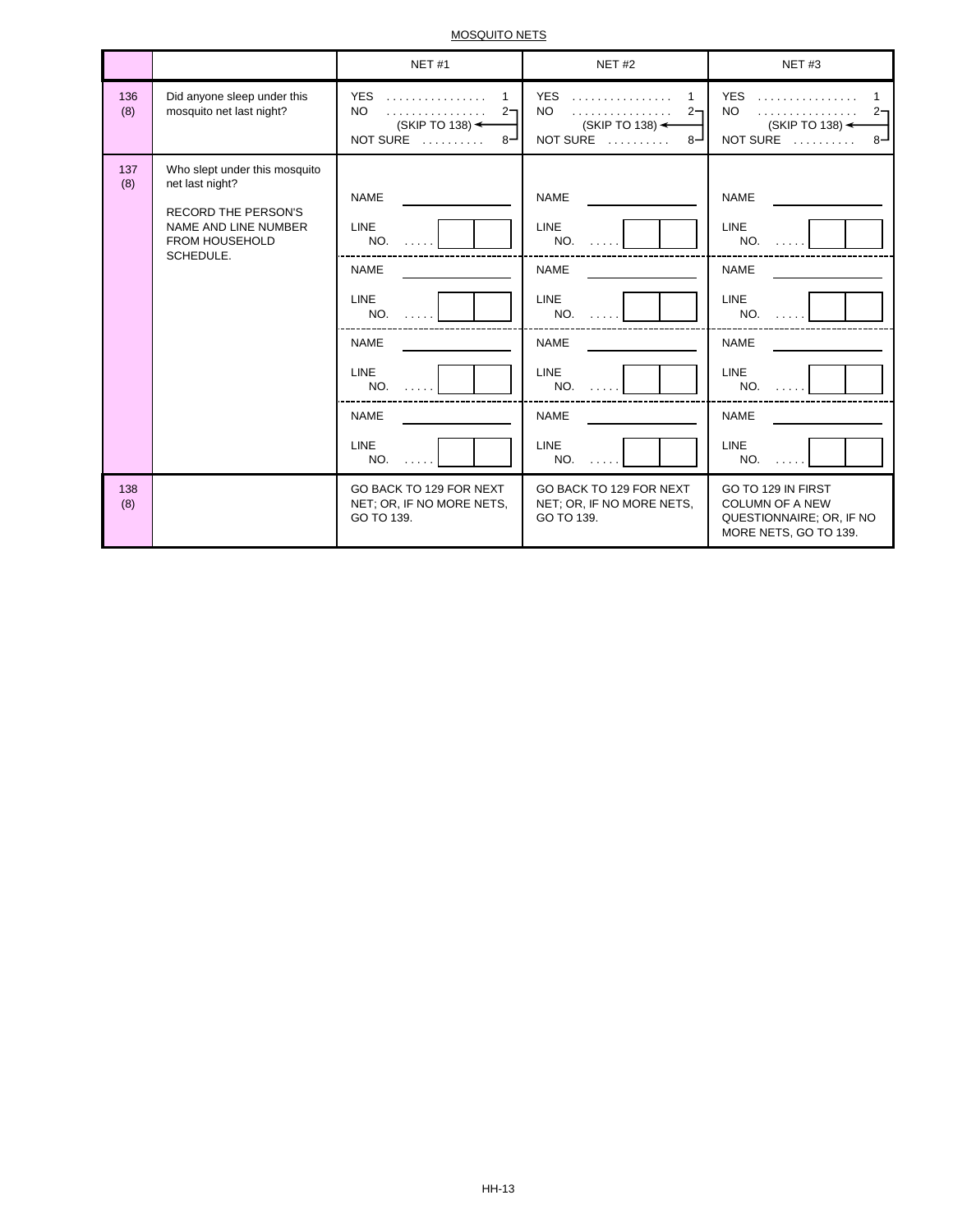| <b>MOSQUITO NETS</b> |  |
|----------------------|--|
|                      |  |

|            |                                                                                                                                              | <b>NET#1</b>                                                                                                                       | <b>NET#2</b>                                                                                                                                     | NET#3                                                                                                                                                    |
|------------|----------------------------------------------------------------------------------------------------------------------------------------------|------------------------------------------------------------------------------------------------------------------------------------|--------------------------------------------------------------------------------------------------------------------------------------------------|----------------------------------------------------------------------------------------------------------------------------------------------------------|
| 136<br>(8) | Did anyone sleep under this<br>mosquito net last night?                                                                                      | <b>YES</b><br>.<br>1<br><b>NO</b><br>$2-$<br>.<br>(SKIP TO 138) $\triangleleft$<br><b>NOT SURE</b><br>$8-$<br>.                    | <b>YES</b><br>1<br><b>NO</b><br>$2-$<br>.<br>(SKIP TO 138) $\triangleleft$<br>NOT SURE<br>$8-$<br>.                                              | <b>YES</b><br><u>.</u><br><b>NO</b><br>2 <sub>7</sub><br>1.1.1.1.1.1.1<br>(SKIP TO 138) $\triangleleft$<br><b>NOT SURE</b><br>and a straight and<br>$8-$ |
| 137<br>(8) | Who slept under this mosquito<br>net last night?<br><b>RECORD THE PERSON'S</b><br>NAME AND LINE NUMBER<br><b>FROM HOUSEHOLD</b><br>SCHEDULE. | <b>NAME</b><br><b>LINE</b><br>NO.<br><b>NAME</b><br><b>LINE</b><br>NO.<br><b>NAME</b><br>LINE<br>NO.<br><b>NAME</b><br>LINE<br>NO. | <b>NAME</b><br><b>LINE</b><br>NO.<br><b>NAME</b><br><b>LINE</b><br>NO.<br><b>NAME</b><br><b>LINE</b><br>NO.<br><b>NAME</b><br><b>LINE</b><br>NO. | <b>NAME</b><br><b>LINE</b><br>NO.<br><b>NAME</b><br><b>LINE</b><br>NO.<br><b>NAME</b><br><b>LINE</b><br>NO.<br><b>NAME</b><br><b>LINE</b><br>NO.         |
| 138<br>(8) |                                                                                                                                              | GO BACK TO 129 FOR NEXT<br>NET; OR, IF NO MORE NETS,<br>GO TO 139.                                                                 | GO BACK TO 129 FOR NEXT<br>NET; OR, IF NO MORE NETS,<br>GO TO 139.                                                                               | GO TO 129 IN FIRST<br><b>COLUMN OF A NEW</b><br>QUESTIONNAIRE; OR, IF NO<br>MORE NETS, GO TO 139.                                                        |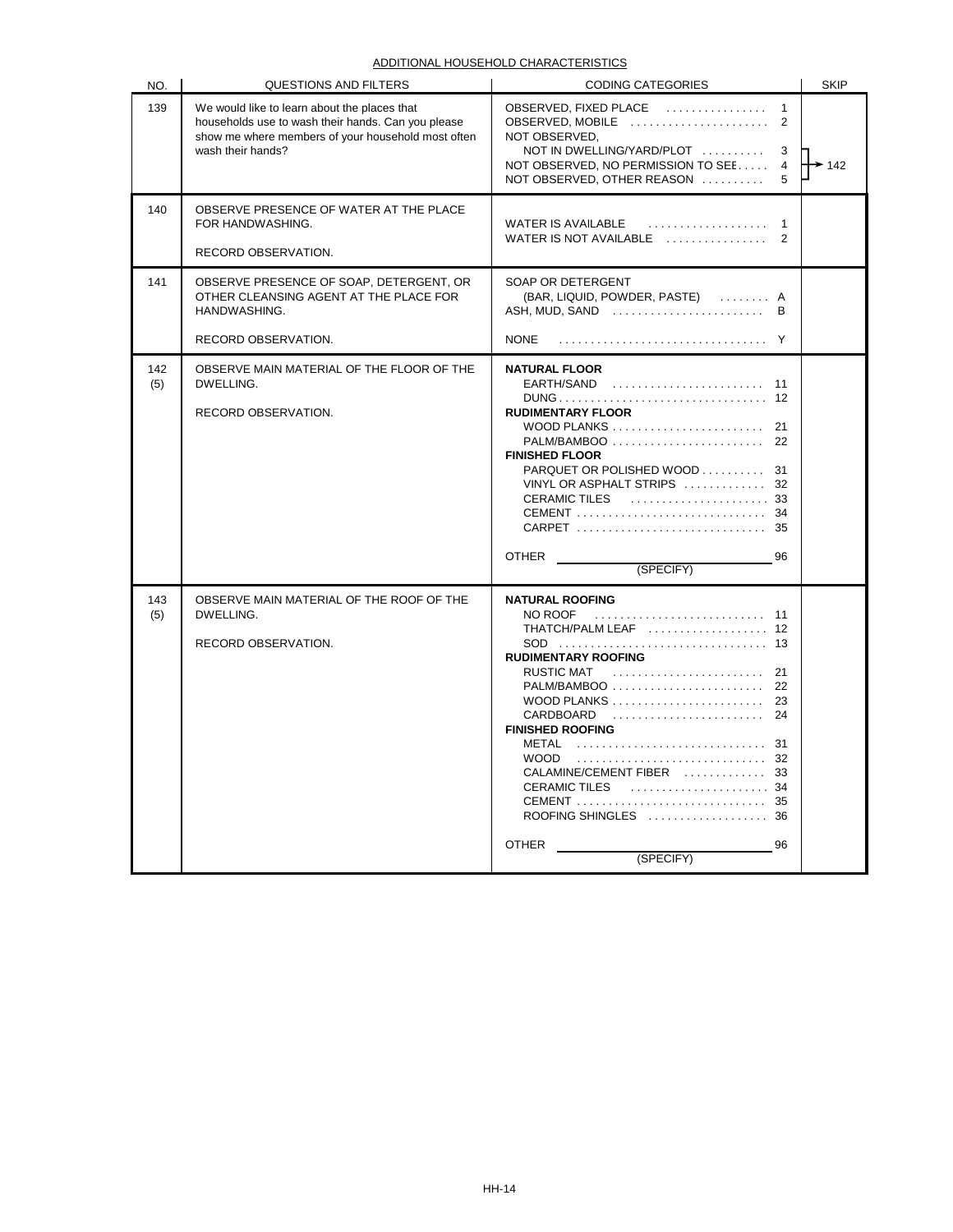ADDITIONAL HOUSEHOLD CHARACTERISTICS

| NO.        | QUESTIONS AND FILTERS                                                                                                                                                         | <b>CODING CATEGORIES</b>                                                                                                                                                                                                                                                          | <b>SKIP</b> |
|------------|-------------------------------------------------------------------------------------------------------------------------------------------------------------------------------|-----------------------------------------------------------------------------------------------------------------------------------------------------------------------------------------------------------------------------------------------------------------------------------|-------------|
| 139        | We would like to learn about the places that<br>households use to wash their hands. Can you please<br>show me where members of your household most often<br>wash their hands? | OBSERVED, FIXED PLACE<br>$\mathbf{1}$<br>OBSERVED, MOBILE<br>2<br>NOT OBSERVED,<br>NOT IN DWELLING/YARD/PLOT<br>3<br>NOT OBSERVED, NO PERMISSION TO SEE<br>$\overline{4}$<br>NOT OBSERVED, OTHER REASON<br>5                                                                      | 142         |
| 140        | OBSERVE PRESENCE OF WATER AT THE PLACE<br>FOR HANDWASHING.<br>RECORD OBSERVATION.                                                                                             | <b>WATER IS AVAILABLE</b><br>$\mathbf{1}$<br>WATER IS NOT AVAILABLE<br>2                                                                                                                                                                                                          |             |
| 141        | OBSERVE PRESENCE OF SOAP, DETERGENT, OR<br>OTHER CLEANSING AGENT AT THE PLACE FOR<br>HANDWASHING.<br>RECORD OBSERVATION.                                                      | SOAP OR DETERGENT<br>(BAR, LIQUID, POWDER, PASTE)  A<br>ASH, MUD, SAND<br>B<br><b>NONE</b>                                                                                                                                                                                        |             |
| 142<br>(5) | OBSERVE MAIN MATERIAL OF THE FLOOR OF THE<br>DWELLING.<br>RECORD OBSERVATION.                                                                                                 | <b>NATURAL FLOOR</b><br>EARTH/SAND  11<br><b>RUDIMENTARY FLOOR</b><br>PALM/BAMBOO  22<br><b>FINISHED FLOOR</b><br>PARQUET OR POLISHED WOOD 31<br>VINYL OR ASPHALT STRIPS  32<br>CERAMIC TILES  33<br>CARPET  35<br><b>OTHER</b><br>96<br>(SPECIFY)                                |             |
| 143<br>(5) | OBSERVE MAIN MATERIAL OF THE ROOF OF THE<br>DWELLING.<br>RECORD OBSERVATION.                                                                                                  | <b>NATURAL ROOFING</b><br>NO ROOF<br>THATCH/PALM LEAF  12<br><b>RUDIMENTARY ROOFING</b><br><b>RUSTIC MAT</b><br>CARDBOARD<br><b>FINISHED ROOFING</b><br>METAL  31<br>CALAMINE/CEMENT FIBER  33<br><b>CERAMIC TILES</b><br>ROOFING SHINGLES  36<br><b>OTHER</b><br>96<br>(SPECIFY) |             |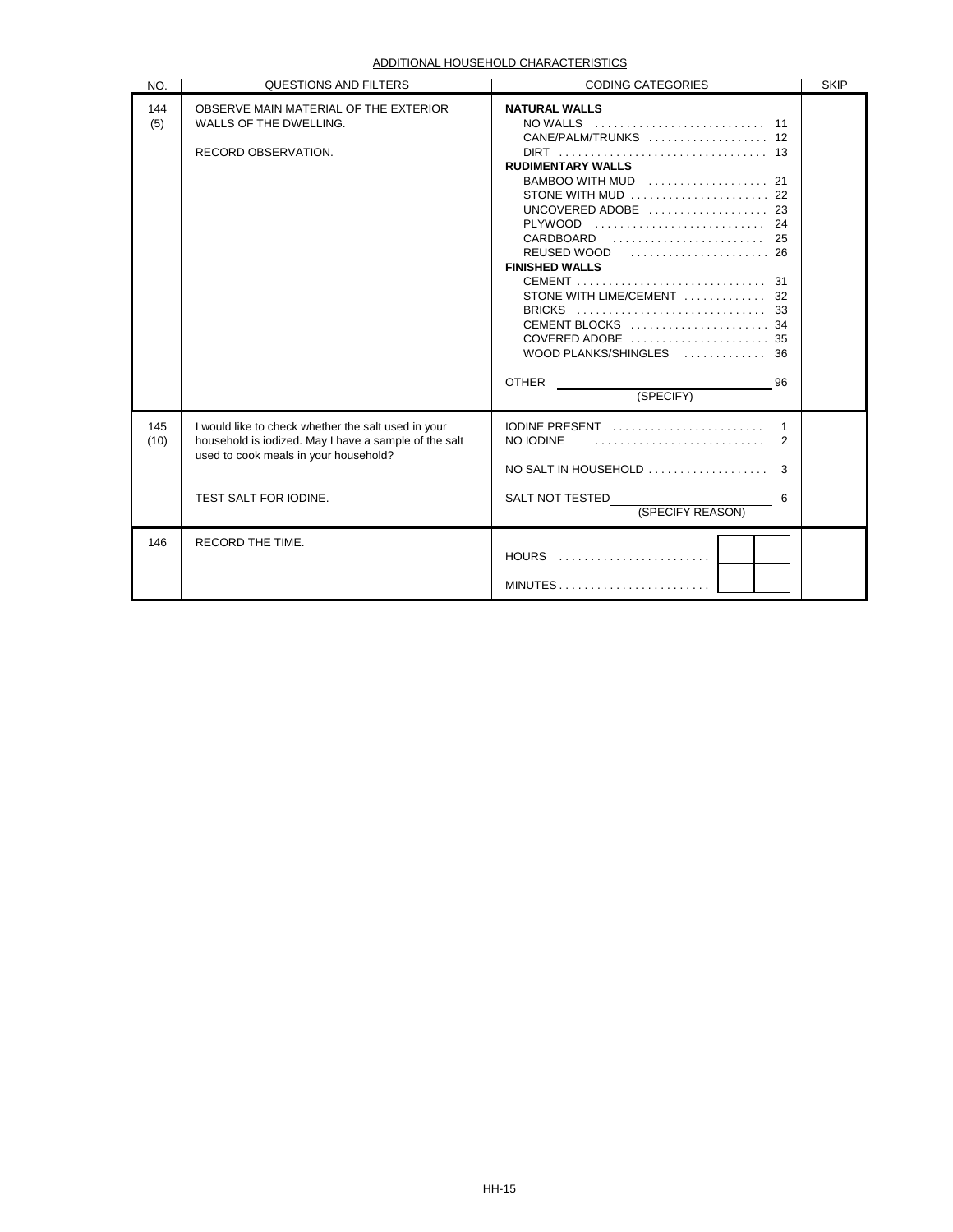ADDITIONAL HOUSEHOLD CHARACTERISTICS

| NO.         | <b>QUESTIONS AND FILTERS</b>                                                                                                                                                   | <b>CODING CATEGORIES</b>                                                                                                                                                                                                                                                                                                                                                                                                                  | <b>SKIP</b> |
|-------------|--------------------------------------------------------------------------------------------------------------------------------------------------------------------------------|-------------------------------------------------------------------------------------------------------------------------------------------------------------------------------------------------------------------------------------------------------------------------------------------------------------------------------------------------------------------------------------------------------------------------------------------|-------------|
| 144<br>(5)  | OBSERVE MAIN MATERIAL OF THE EXTERIOR<br>WALLS OF THE DWELLING.<br>RECORD OBSERVATION.                                                                                         | <b>NATURAL WALLS</b><br>CANE/PALM/TRUNKS  12<br>DIRT  13<br><b>RUDIMENTARY WALLS</b><br>BAMBOO WITH MUD $\ldots \ldots \ldots \ldots \ldots$ 21<br>STONE WITH MUD $\ldots \ldots \ldots \ldots \ldots \ldots$ 22<br>UNCOVERED ADOBE  23<br>PLYWOOD  24<br>REUSED WOOD  26<br><b>FINISHED WALLS</b><br>STONE WITH LIME/CEMENT  32<br>CEMENT BLOCKS  34<br>COVERED ADOBE  35<br>WOOD PLANKS/SHINGLES  36<br><b>OTHER</b><br>96<br>(SPECIFY) |             |
| 145<br>(10) | I would like to check whether the salt used in your<br>household is iodized. May I have a sample of the salt<br>used to cook meals in your household?<br>TEST SALT FOR IODINE. | IODINE PRESENT<br>1<br>NO IODINE<br>2<br>NO SALT IN HOUSEHOLD<br>3<br>SALT NOT TESTED<br>6<br>(SPECIFY REASON)                                                                                                                                                                                                                                                                                                                            |             |
| 146         | RECORD THE TIME.                                                                                                                                                               |                                                                                                                                                                                                                                                                                                                                                                                                                                           |             |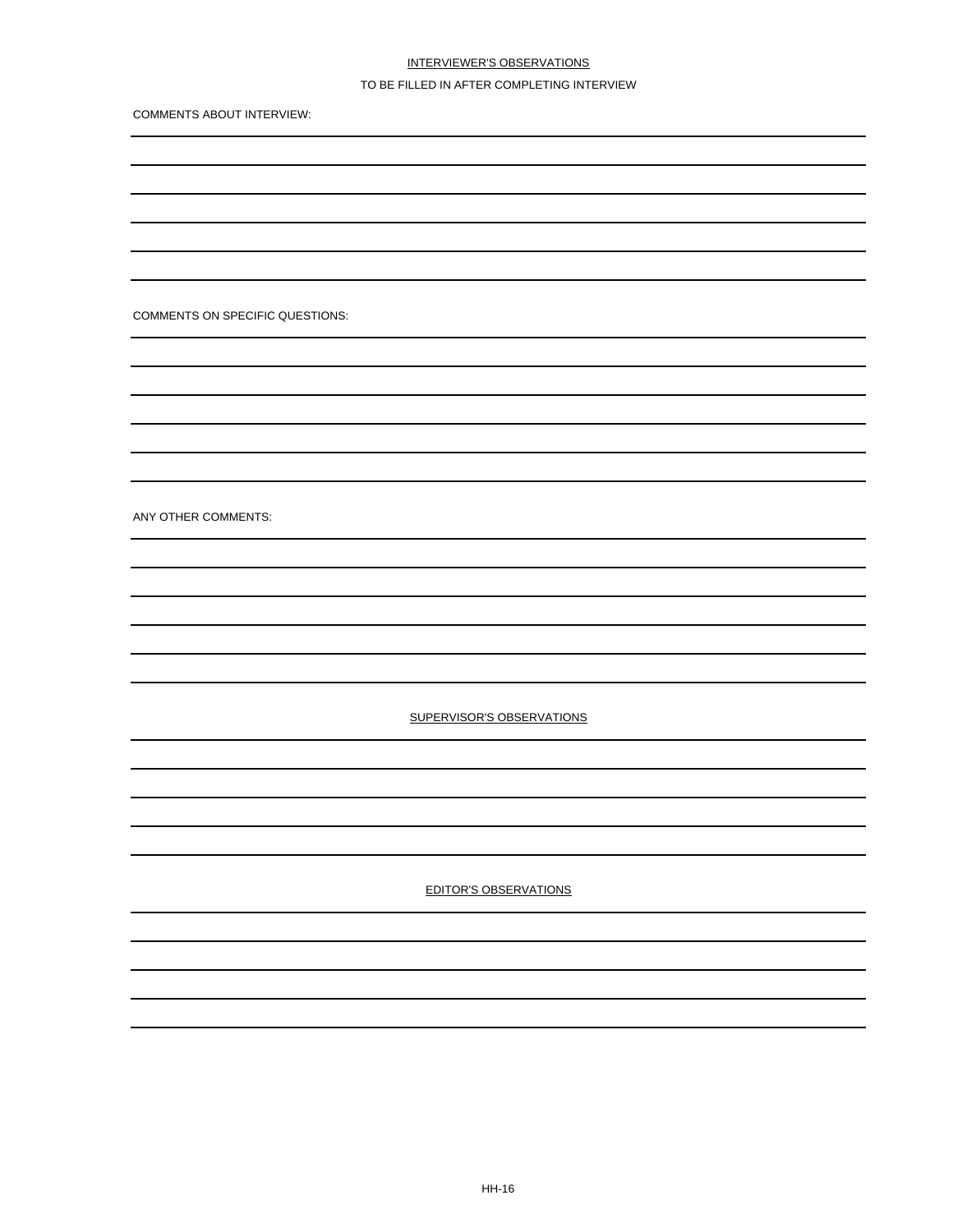### INTERVIEWER'S OBSERVATIONS

### TO BE FILLED IN AFTER COMPLETING INTERVIEW

COMMENTS ABOUT INTERVIEW:

COMMENTS ON SPECIFIC QUESTIONS:

ANY OTHER COMMENTS:

SUPERVISOR'S OBSERVATIONS

EDITOR'S OBSERVATIONS